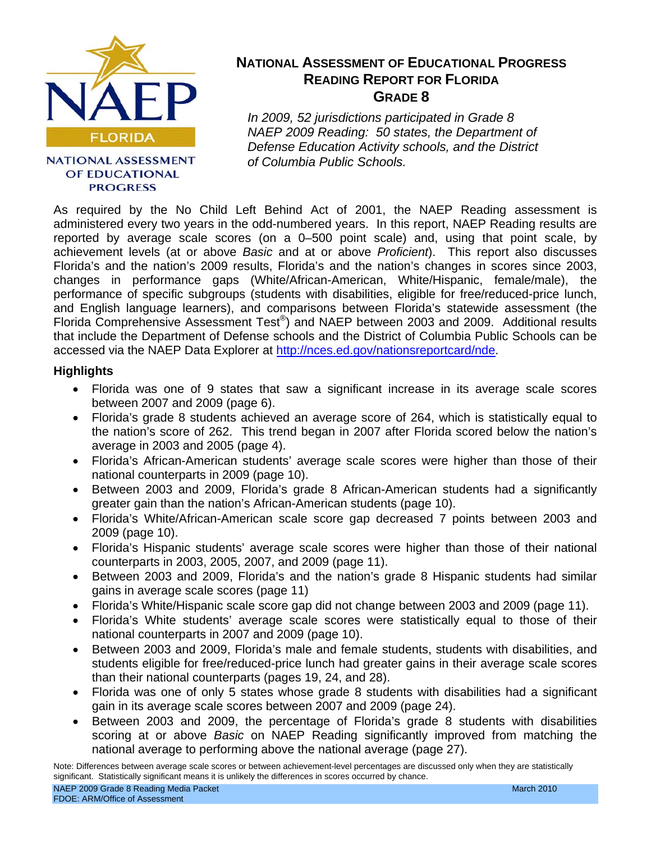

### **NATIONAL ASSESSMENT** OF EDUCATIONAL **PROGRESS**

## **NATIONAL ASSESSMENT OF EDUCATIONAL PROGRESS READING REPORT FOR FLORIDA GRADE 8**

*In 2009, 52 jurisdictions participated in Grade 8 NAEP 2009 Reading: 50 states, the Department of Defense Education Activity schools, and the District of Columbia Public Schools.*

As required by the No Child Left Behind Act of 2001, the NAEP Reading assessment is administered every two years in the odd-numbered years. In this report, NAEP Reading results are reported by average scale scores (on a 0–500 point scale) and, using that point scale, by achievement levels (at or above *Basic* and at or above *Proficient*). This report also discusses Florida's and the nation's 2009 results, Florida's and the nation's changes in scores since 2003, changes in performance gaps (White/African-American, White/Hispanic, female/male), the performance of specific subgroups (students with disabilities, eligible for free/reduced-price lunch, and English language learners), and comparisons between Florida's statewide assessment (the Florida Comprehensive Assessment Test®) and NAEP between 2003 and 2009. Additional results that include the Department of Defense schools and the District of Columbia Public Schools can be accessed via the NAEP Data Explorer at [http://nces.ed.gov/nationsreportcard/nde.](http://nces.ed.gov/nationsreportcard/nde) 

- Florida was one of 9 states that saw a significant increase in its average scale scores between 2007 and 2009 (page 6).
- Florida's grade 8 students achieved an average score of 264, which is statistically equal to the nation's score of 262. This trend began in 2007 after Florida scored below the nation's average in 2003 and 2005 (page 4).
- Florida's African-American students' average scale scores were higher than those of their national counterparts in 2009 (page 10).
- Between 2003 and 2009, Florida's grade 8 African-American students had a significantly greater gain than the nation's African-American students (page 10).
- Florida's White/African-American scale score gap decreased 7 points between 2003 and 2009 (page 10).
- Florida's Hispanic students' average scale scores were higher than those of their national counterparts in 2003, 2005, 2007, and 2009 (page 11).
- Between 2003 and 2009, Florida's and the nation's grade 8 Hispanic students had similar gains in average scale scores (page 11)
- Florida's White/Hispanic scale score gap did not change between 2003 and 2009 (page 11).
- Florida's White students' average scale scores were statistically equal to those of their national counterparts in 2007 and 2009 (page 10).
- Between 2003 and 2009, Florida's male and female students, students with disabilities, and students eligible for free/reduced-price lunch had greater gains in their average scale scores than their national counterparts (pages 19, 24, and 28).
- Florida was one of only 5 states whose grade 8 students with disabilities had a significant gain in its average scale scores between 2007 and 2009 (page 24).
- Between 2003 and 2009, the percentage of Florida's grade 8 students with disabilities scoring at or above *Basic* on NAEP Reading significantly improved from matching the national average to performing above the national average (page 27).

Note: Differences between average scale scores or between achievement-level percentages are discussed only when they are statistically significant. Statistically significant means it is unlikely the differences in scores occurred by chance.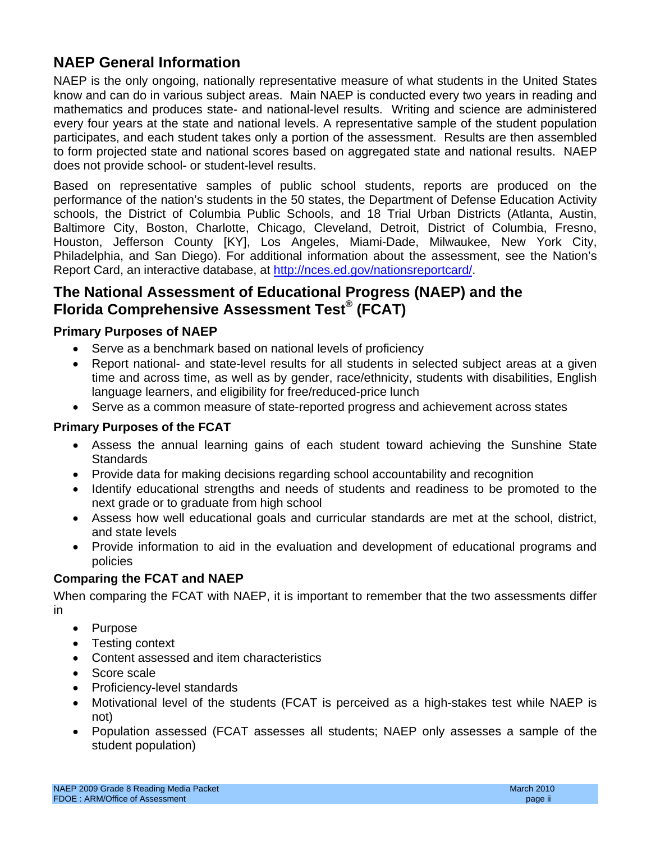# **NAEP General Information**

NAEP is the only ongoing, nationally representative measure of what students in the United States know and can do in various subject areas. Main NAEP is conducted every two years in reading and mathematics and produces state- and national-level results. Writing and science are administered every four years at the state and national levels. A representative sample of the student population participates, and each student takes only a portion of the assessment. Results are then assembled to form projected state and national scores based on aggregated state and national results. NAEP does not provide school- or student-level results.

Based on representative samples of public school students, reports are produced on the performance of the nation's students in the 50 states, the Department of Defense Education Activity schools, the District of Columbia Public Schools, and 18 Trial Urban Districts (Atlanta, Austin, Baltimore City, Boston, Charlotte, Chicago, Cleveland, Detroit, District of Columbia, Fresno, Houston, Jefferson County [KY], Los Angeles, Miami-Dade, Milwaukee, New York City, Philadelphia, and San Diego). For additional information about the assessment, see the Nation's Report Card, an interactive database, at [http://nces.ed.gov/nationsreportcard/.](http://nces.ed.gov/nationsreportcard/) 

# **The National Assessment of Educational Progress (NAEP) and the Florida Comprehensive Assessment Test® (FCAT)**

### **Primary Purposes of NAEP**

- Serve as a benchmark based on national levels of proficiency
- Report national- and state-level results for all students in selected subject areas at a given time and across time, as well as by gender, race/ethnicity, students with disabilities, English language learners, and eligibility for free/reduced-price lunch
- Serve as a common measure of state-reported progress and achievement across states

### **Primary Purposes of the FCAT**

- Assess the annual learning gains of each student toward achieving the Sunshine State **Standards**
- Provide data for making decisions regarding school accountability and recognition
- Identify educational strengths and needs of students and readiness to be promoted to the next grade or to graduate from high school
- Assess how well educational goals and curricular standards are met at the school, district, and state levels
- • Provide information to aid in the evaluation and development of educational programs and policies

## **Comparing the FCAT and NAEP**

When comparing the FCAT with NAEP, it is important to remember that the two assessments differ in

- Purpose
- Testing context
- Content assessed and item characteristics
- Score scale
- Proficiency-level standards
- Motivational level of the students (FCAT is perceived as a high-stakes test while NAEP is not)
- Population assessed (FCAT assesses all students; NAEP only assesses a sample of the student population)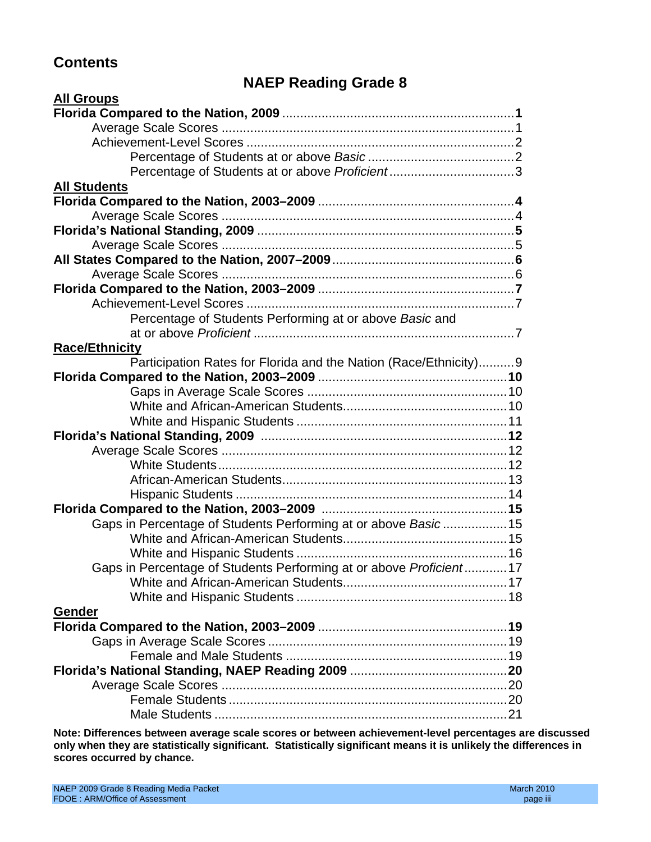# **Contents**

# **NAEP Reading Grade 8**

| <b>All Groups</b>                                                   |  |
|---------------------------------------------------------------------|--|
|                                                                     |  |
|                                                                     |  |
|                                                                     |  |
|                                                                     |  |
|                                                                     |  |
| <b>All Students</b>                                                 |  |
|                                                                     |  |
|                                                                     |  |
|                                                                     |  |
|                                                                     |  |
|                                                                     |  |
|                                                                     |  |
|                                                                     |  |
|                                                                     |  |
| Percentage of Students Performing at or above Basic and             |  |
|                                                                     |  |
| <b>Race/Ethnicity</b>                                               |  |
| Participation Rates for Florida and the Nation (Race/Ethnicity)9    |  |
|                                                                     |  |
|                                                                     |  |
|                                                                     |  |
|                                                                     |  |
|                                                                     |  |
|                                                                     |  |
|                                                                     |  |
|                                                                     |  |
|                                                                     |  |
|                                                                     |  |
| Gaps in Percentage of Students Performing at or above Basic15       |  |
|                                                                     |  |
|                                                                     |  |
| Gaps in Percentage of Students Performing at or above Proficient 17 |  |
|                                                                     |  |
|                                                                     |  |
| Gender                                                              |  |
|                                                                     |  |
|                                                                     |  |
|                                                                     |  |
|                                                                     |  |
|                                                                     |  |
|                                                                     |  |
|                                                                     |  |

**Note: Differences between average scale scores or between achievement-level percentages are discussed only when they are statistically significant. Statistically significant means it is unlikely the differences in scores occurred by chance.**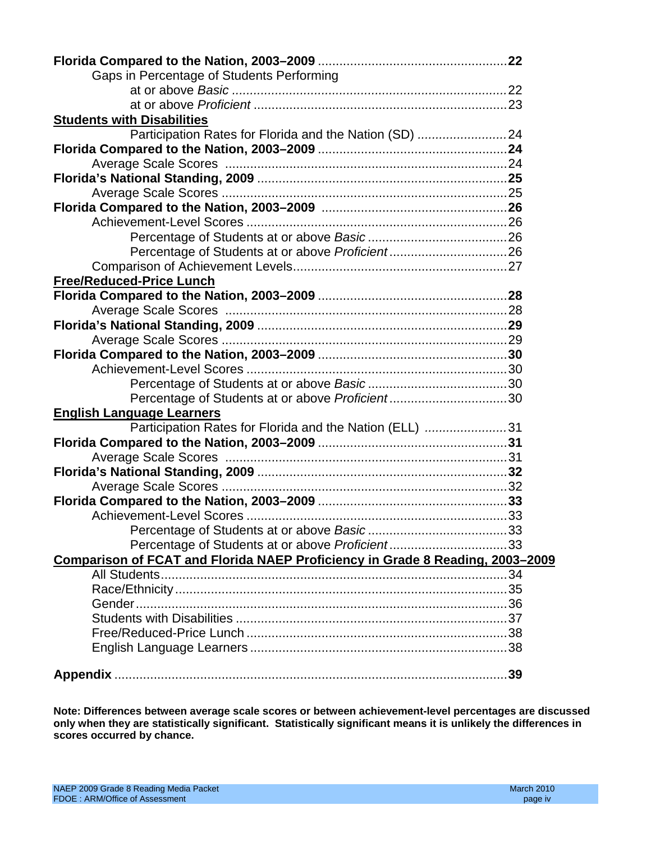| Gaps in Percentage of Students Performing                                     |  |
|-------------------------------------------------------------------------------|--|
|                                                                               |  |
|                                                                               |  |
| <b>Students with Disabilities</b>                                             |  |
| Participation Rates for Florida and the Nation (SD) 24                        |  |
|                                                                               |  |
|                                                                               |  |
|                                                                               |  |
|                                                                               |  |
|                                                                               |  |
|                                                                               |  |
|                                                                               |  |
|                                                                               |  |
|                                                                               |  |
| <b>Free/Reduced-Price Lunch</b>                                               |  |
|                                                                               |  |
|                                                                               |  |
|                                                                               |  |
|                                                                               |  |
|                                                                               |  |
|                                                                               |  |
|                                                                               |  |
| Percentage of Students at or above Proficient30                               |  |
| <b>English Language Learners</b>                                              |  |
| Participation Rates for Florida and the Nation (ELL) 31                       |  |
|                                                                               |  |
|                                                                               |  |
|                                                                               |  |
|                                                                               |  |
|                                                                               |  |
|                                                                               |  |
|                                                                               |  |
| Percentage of Students at or above Proficient33                               |  |
|                                                                               |  |
| Comparison of FCAT and Florida NAEP Proficiency in Grade 8 Reading, 2003-2009 |  |
|                                                                               |  |
|                                                                               |  |
|                                                                               |  |
|                                                                               |  |
|                                                                               |  |
|                                                                               |  |
|                                                                               |  |

**Note: Differences between average scale scores or between achievement-level percentages are discussed only when they are statistically significant. Statistically significant means it is unlikely the differences in scores occurred by chance.**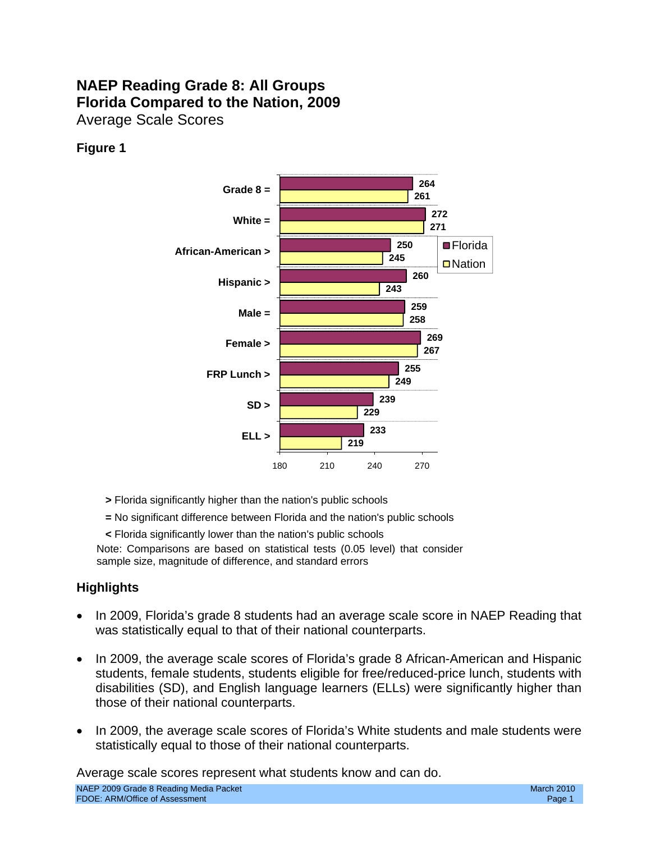# **NAEP Reading Grade 8: All Groups Florida Compared to the Nation, 2009**  Average Scale Scores

## **Figure 1**



- **>** Florida significantly higher than the nation's public schools
- **=** No significant difference between Florida and the nation's public schools
- **<** Florida significantly lower than the nation's public schools

Note: Comparisons are based on statistical tests (0.05 level) that consider sample size, magnitude of difference, and standard errors

## **Highlights**

- In 2009, Florida's grade 8 students had an average scale score in NAEP Reading that was statistically equal to that of their national counterparts.
- In 2009, the average scale scores of Florida's grade 8 African-American and Hispanic students, female students, students eligible for free/reduced-price lunch, students with disabilities (SD), and English language learners (ELLs) were significantly higher than those of their national counterparts.
- In 2009, the average scale scores of Florida's White students and male students were statistically equal to those of their national counterparts.

Average scale scores represent what students know and can do.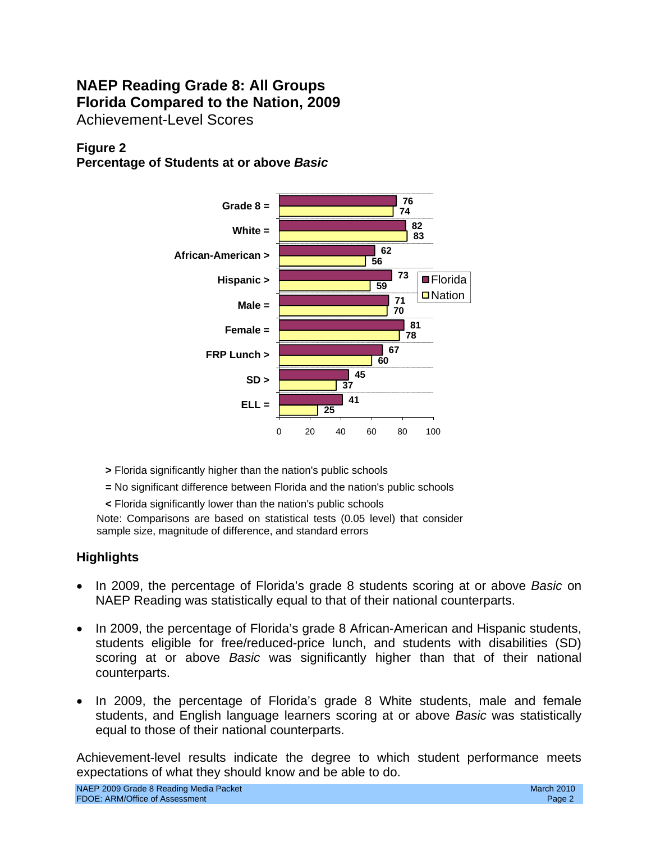# **NAEP Reading Grade 8: All Groups Florida Compared to the Nation, 2009**  Achievement-Level Scores

## **Figure 2**

**Percentage of Students at or above** *Basic* 



- **>** Florida significantly higher than the nation's public schools
- **=** No significant difference between Florida and the nation's public schools
- **<** Florida significantly lower than the nation's public schools

Note: Comparisons are based on statistical tests (0.05 level) that consider sample size, magnitude of difference, and standard errors

### **Highlights**

- In 2009, the percentage of Florida's grade 8 students scoring at or above *Basic* on NAEP Reading was statistically equal to that of their national counterparts.
- In 2009, the percentage of Florida's grade 8 African-American and Hispanic students, students eligible for free/reduced-price lunch, and students with disabilities (SD) scoring at or above *Basic* was significantly higher than that of their national counterparts.
- In 2009, the percentage of Florida's grade 8 White students, male and female students, and English language learners scoring at or above *Basic* was statistically equal to those of their national counterparts.

Achievement-level results indicate the degree to which student performance meets expectations of what they should know and be able to do.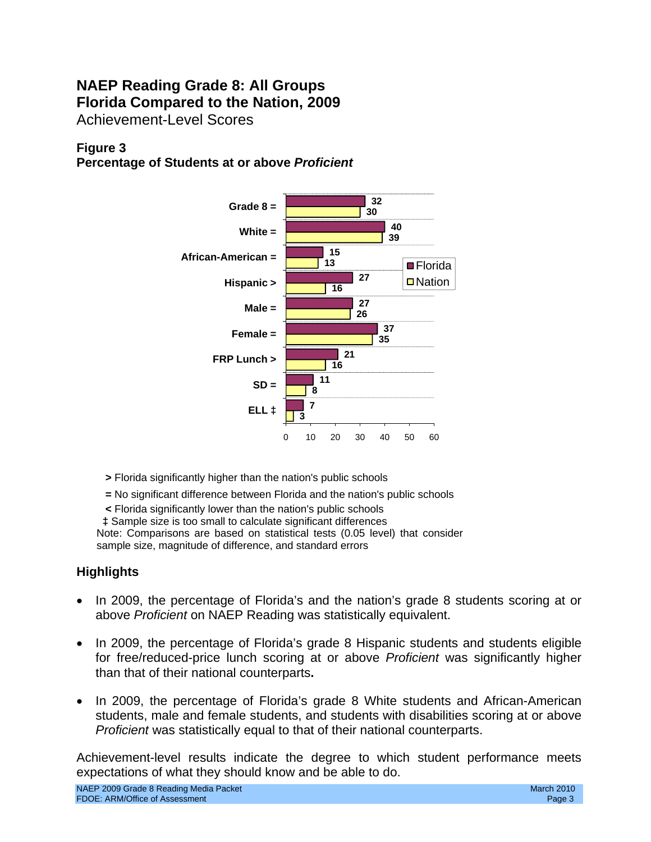# **NAEP Reading Grade 8: All Groups Florida Compared to the Nation, 2009**  Achievement-Level Scores

## **Figure 3**

**Percentage of Students at or above** *Proficient* 



- **>** Florida significantly higher than the nation's public schools
- **=** No significant difference between Florida and the nation's public schools
- **<** Florida significantly lower than the nation's public schools
- **‡** Sample size is too small to calculate significant differences

Note: Comparisons are based on statistical tests (0.05 level) that consider sample size, magnitude of difference, and standard errors

## **Highlights**

- In 2009, the percentage of Florida's and the nation's grade 8 students scoring at or above *Proficient* on NAEP Reading was statistically equivalent.
- In 2009, the percentage of Florida's grade 8 Hispanic students and students eligible for free/reduced-price lunch scoring at or above *Proficient* was significantly higher than that of their national counterparts**.**
- In 2009, the percentage of Florida's grade 8 White students and African-American students, male and female students, and students with disabilities scoring at or above *Proficient* was statistically equal to that of their national counterparts.

Achievement-level results indicate the degree to which student performance meets expectations of what they should know and be able to do.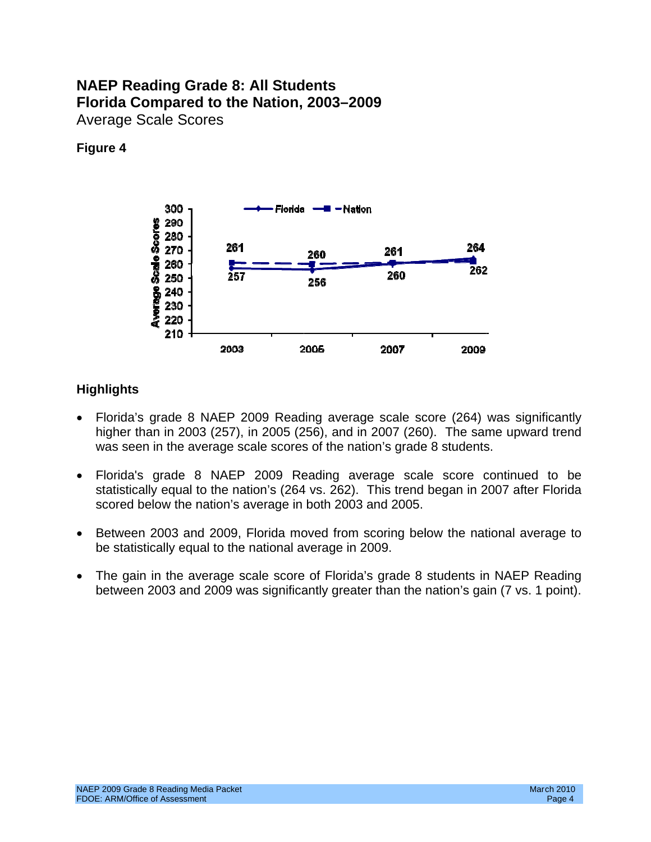## **NAEP Reading Grade 8: All Students Florida Compared to the Nation, 2003–2009**  Average Scale Scores

### **Figure 4**



- Florida's grade 8 NAEP 2009 Reading average scale score (264) was significantly higher than in 2003 (257), in 2005 (256), and in 2007 (260). The same upward trend was seen in the average scale scores of the nation's grade 8 students.
- Florida's grade 8 NAEP 2009 Reading average scale score continued to be statistically equal to the nation's (264 vs. 262). This trend began in 2007 after Florida scored below the nation's average in both 2003 and 2005.
- Between 2003 and 2009, Florida moved from scoring below the national average to be statistically equal to the national average in 2009.
- The gain in the average scale score of Florida's grade 8 students in NAEP Reading between 2003 and 2009 was significantly greater than the nation's gain (7 vs. 1 point).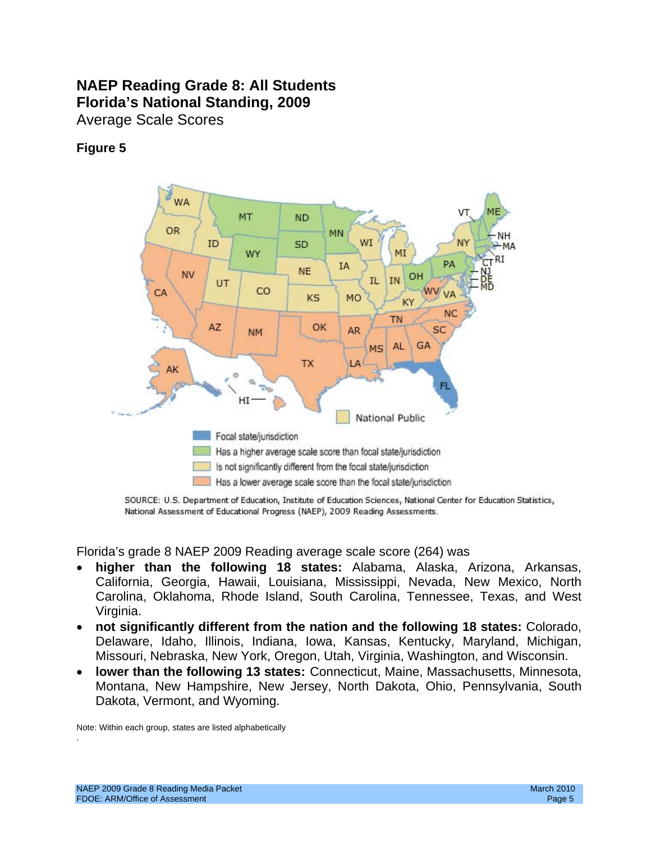# **NAEP Reading Grade 8: All Students Florida's National Standing, 2009**  Average Scale Scores

## **Figure 5**



SOURCE: U.S. Department of Education, Institute of Education Sciences, National Center for Education Statistics, National Assessment of Educational Progress (NAEP), 2009 Reading Assessments.

Florida's grade 8 NAEP 2009 Reading average scale score (264) was

- Virginia. • **higher than the following 18 states:** Alabama, Alaska, Arizona, Arkansas, California, Georgia, Hawaii, Louisiana, Mississippi, Nevada, New Mexico, North Carolina, Oklahoma, Rhode Island, South Carolina, Tennessee, Texas, and West
- • **not significantly different from the nation and the following 18 states:** Colorado, Delaware, Idaho, Illinois, Indiana, Iowa, Kansas, Kentucky, Maryland, Michigan, Missouri, Nebraska, New York, Oregon, Utah, Virginia, Washington, and Wisconsin.
- **lower than the following 13 states:** Connecticut, Maine, Massachusetts, Minnesota, Montana, New Hampshire, New Jersey, North Dakota, Ohio, Pennsylvania, South Dakota, Vermont, and Wyoming.

Note: Within each group, states are listed alphabetically

.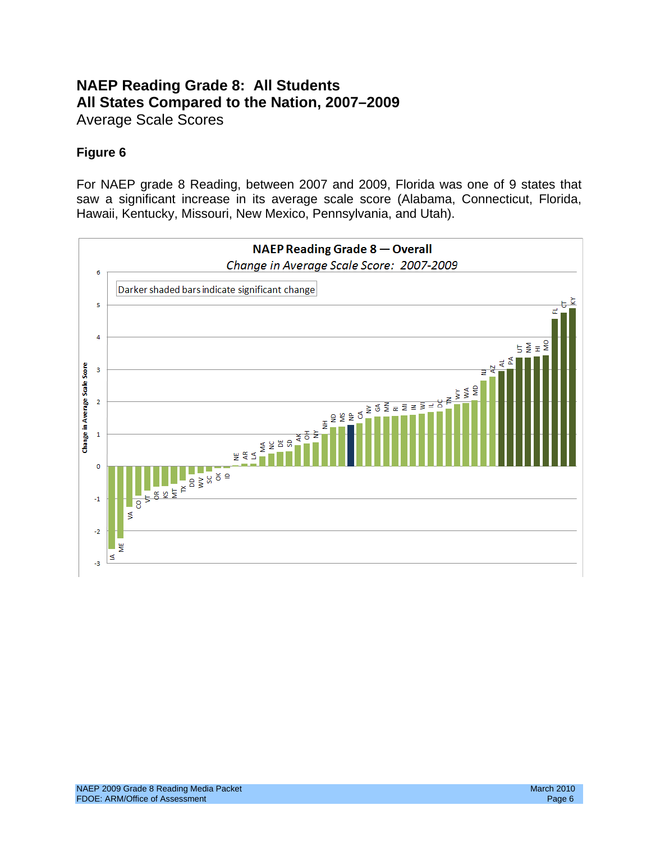# **NAEP Reading Grade 8: All Students All States Compared to the Nation, 2007–2009**  Average Scale Scores

## **Figure 6**

For NAEP grade 8 Reading, between 2007 and 2009, Florida was one of 9 states that saw a significant increase in its average scale score (Alabama, Connecticut, Florida, Hawaii, Kentucky, Missouri, New Mexico, Pennsylvania, and Utah).

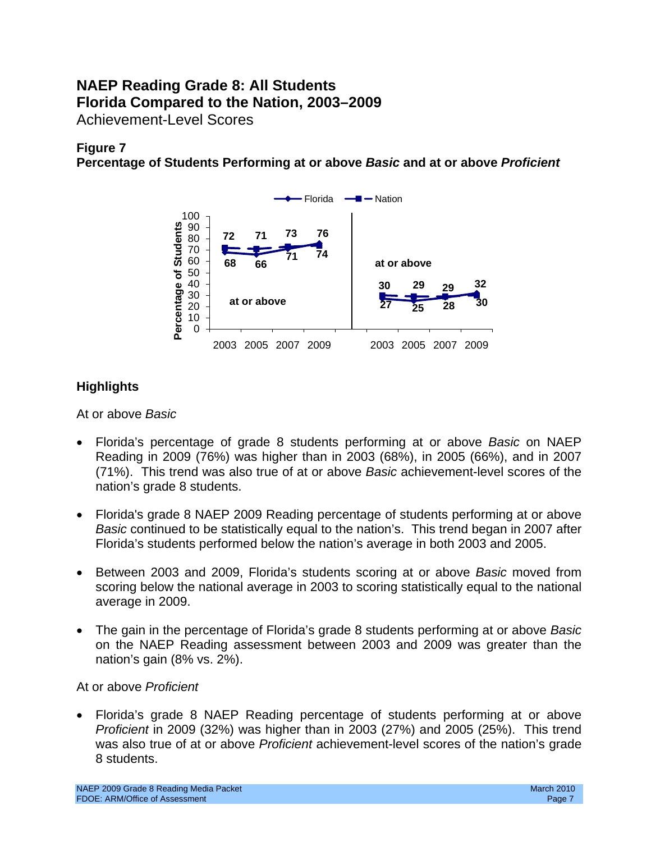## **NAEP Reading Grade 8: All Students Florida Compared to the Nation, 2003–2009**  Achievement-Level Scores

## **Figure 7**

**Percentage of Students Performing at or above** *Basic* **and at or above** *Proficient* 



## **Highlights**

- • Florida's percentage of grade 8 students performing at or above *Basic* on NAEP Reading in 2009 (76%) was higher than in 2003 (68%), in 2005 (66%), and in 2007 (71%). This trend was also true of at or above *Basic* achievement-level scores of the nation's grade 8 students.
- Florida's grade 8 NAEP 2009 Reading percentage of students performing at or above *Basic* continued to be statistically equal to the nation's. This trend began in 2007 after Florida's students performed below the nation's average in both 2003 and 2005.
- • Between 2003 and 2009, Florida's students scoring at or above *Basic* moved from scoring below the national average in 2003 to scoring statistically equal to the national average in 2009.
- The gain in the percentage of Florida's grade 8 students performing at or above *Basic* on the NAEP Reading assessment between 2003 and 2009 was greater than the nation's gain (8% vs. 2%).

### At or above *Proficient*

Florida's grade 8 NAEP Reading percentage of students performing at or above *Proficient* in 2009 (32%) was higher than in 2003 (27%) and 2005 (25%). This trend was also true of at or above *Proficient* achievement-level scores of the nation's grade 8 students.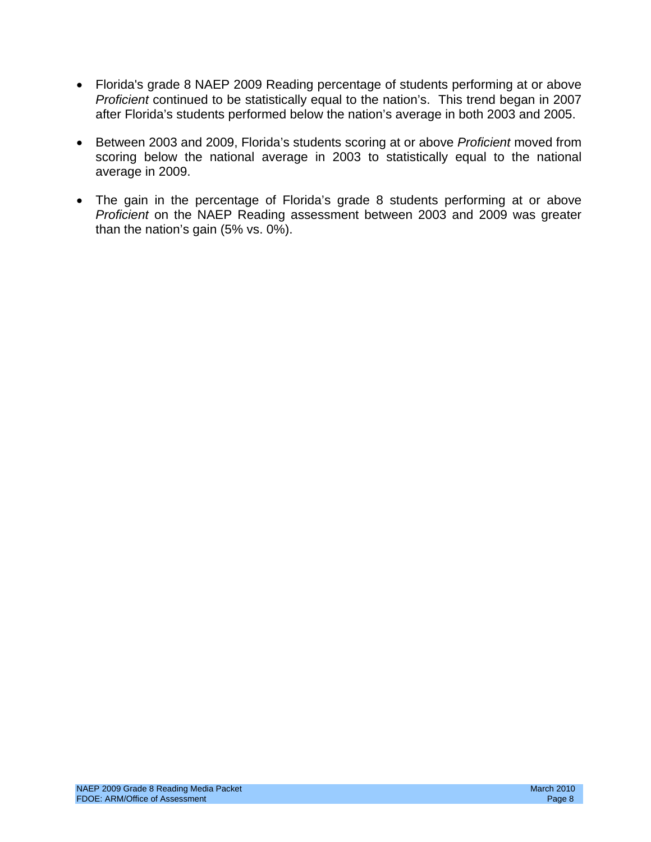- Florida's grade 8 NAEP 2009 Reading percentage of students performing at or above *Proficient* continued to be statistically equal to the nation's. This trend began in 2007 after Florida's students performed below the nation's average in both 2003 and 2005.
- • Between 2003 and 2009, Florida's students scoring at or above *Proficient* moved from scoring below the national average in 2003 to statistically equal to the national average in 2009.
- The gain in the percentage of Florida's grade 8 students performing at or above *Proficient* on the NAEP Reading assessment between 2003 and 2009 was greater than the nation's gain (5% vs. 0%).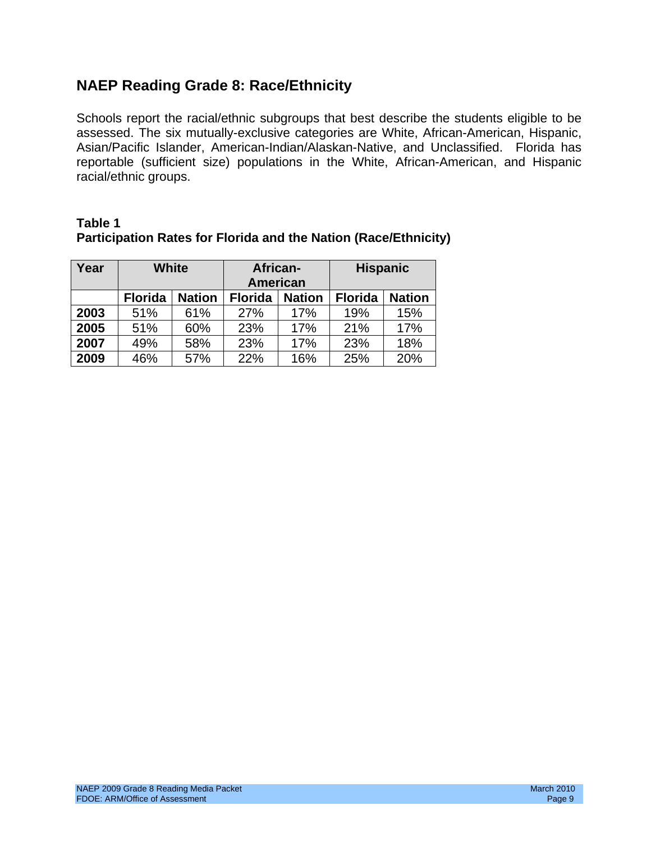# **NAEP Reading Grade 8: Race/Ethnicity**

Schools report the racial/ethnic subgroups that best describe the students eligible to be assessed. The six mutually-exclusive categories are White, African-American, Hispanic, Asian/Pacific Islander, American-Indian/Alaskan-Native, and Unclassified. Florida has reportable (sufficient size) populations in the White, African-American, and Hispanic racial/ethnic groups.

| Year | <b>White</b>                    |     | African-<br>American |               | <b>Hispanic</b> |               |  |
|------|---------------------------------|-----|----------------------|---------------|-----------------|---------------|--|
|      | <b>Nation</b><br><b>Florida</b> |     | <b>Florida</b>       | <b>Nation</b> | <b>Florida</b>  | <b>Nation</b> |  |
| 2003 | 51%                             | 61% | 27%                  | 17%           | 19%             | 15%           |  |
| 2005 | 51%                             | 60% | 23%                  | 17%           | 21%             | 17%           |  |
| 2007 | 49%                             | 58% | 23%                  | 17%           | 23%             | 18%           |  |
| 2009 | 46%                             | 57% | 22%                  | 16%           | 25%             | 20%           |  |

### **Table 1 Participation Rates for Florida and the Nation (Race/Ethnicity)**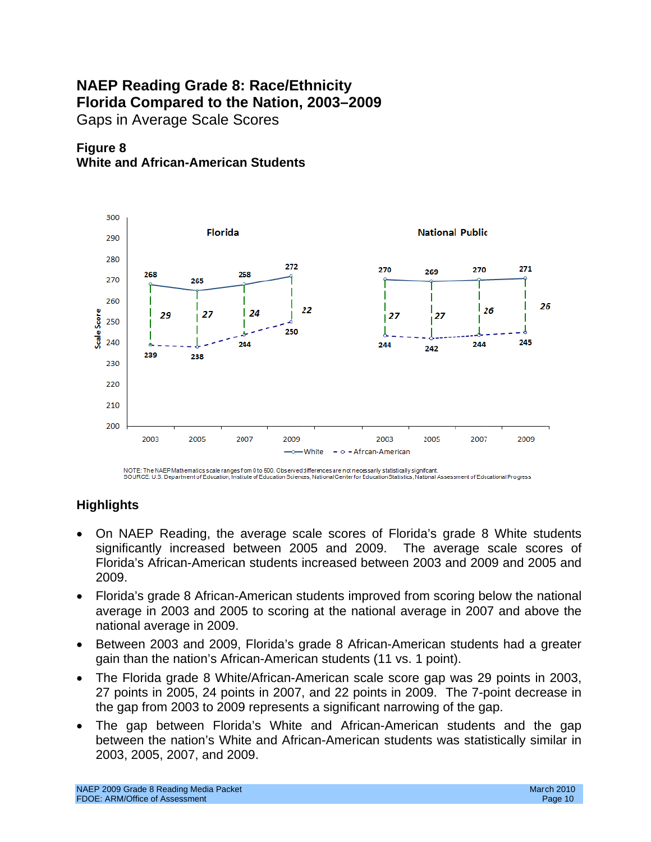# **NAEP Reading Grade 8: Race/Ethnicity Florida Compared to the Nation, 2003–2009**  Gaps in Average Scale Scores





NOTE: The NAEP Mathematics scale ranges from 0 to 500. Observed differences are not necessarily statistically significant.<br>SOURCE: U.S. Department of Education, Institute of Education Sciences, National Centerfor Education

- On NAEP Reading, the average scale scores of Florida's grade 8 White students significantly increased between 2005 and 2009. The average scale scores of Florida's African-American students increased between 2003 and 2009 and 2005 and 2009.
- average in 2003 and 2005 to scoring at the national average in 2007 and above the • Florida's grade 8 African-American students improved from scoring below the national national average in 2009.
- Between 2003 and 2009, Florida's grade 8 African-American students had a greater gain than the nation's African-American students (11 vs. 1 point).
- The Florida grade 8 White/African-American scale score gap was 29 points in 2003, 27 points in 2005, 24 points in 2007, and 22 points in 2009. The 7-point decrease in the gap from 2003 to 2009 represents a significant narrowing of the gap.
- The gap between Florida's White and African-American students and the gap between the nation's White and African-American students was statistically similar in 2003, 2005, 2007, and 2009.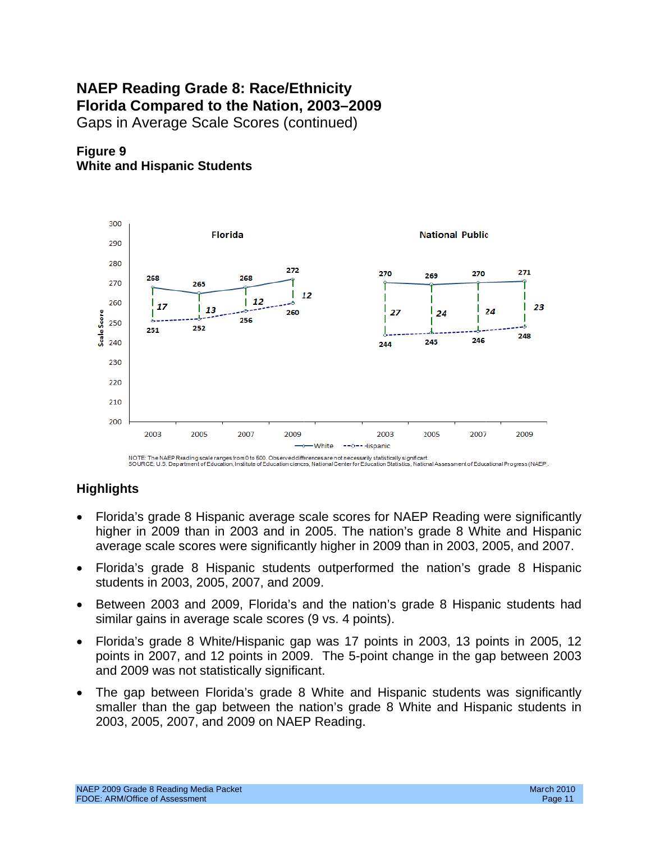# **NAEP Reading Grade 8: Race/Ethnicity Florida Compared to the Nation, 2003–2009**

Gaps in Average Scale Scores (continued)





NOTE: The NAEP Reading scale ranges from 0 to 500. Observed differences are not necessarily statistically significant.<br>SOURCE: U.S. Department of Education, Institute of Education ciences, National Center for Education Sta

- Florida's grade 8 Hispanic average scale scores for NAEP Reading were significantly higher in 2009 than in 2003 and in 2005. The nation's grade 8 White and Hispanic average scale scores were significantly higher in 2009 than in 2003, 2005, and 2007.
- Florida's grade 8 Hispanic students outperformed the nation's grade 8 Hispanic students in 2003, 2005, 2007, and 2009.
- Between 2003 and 2009, Florida's and the nation's grade 8 Hispanic students had similar gains in average scale scores (9 vs. 4 points).
- Florida's grade 8 White/Hispanic gap was 17 points in 2003, 13 points in 2005, 12 points in 2007, and 12 points in 2009. The 5-point change in the gap between 2003 and 2009 was not statistically significant.
- The gap between Florida's grade 8 White and Hispanic students was significantly smaller than the gap between the nation's grade 8 White and Hispanic students in 2003, 2005, 2007, and 2009 on NAEP Reading.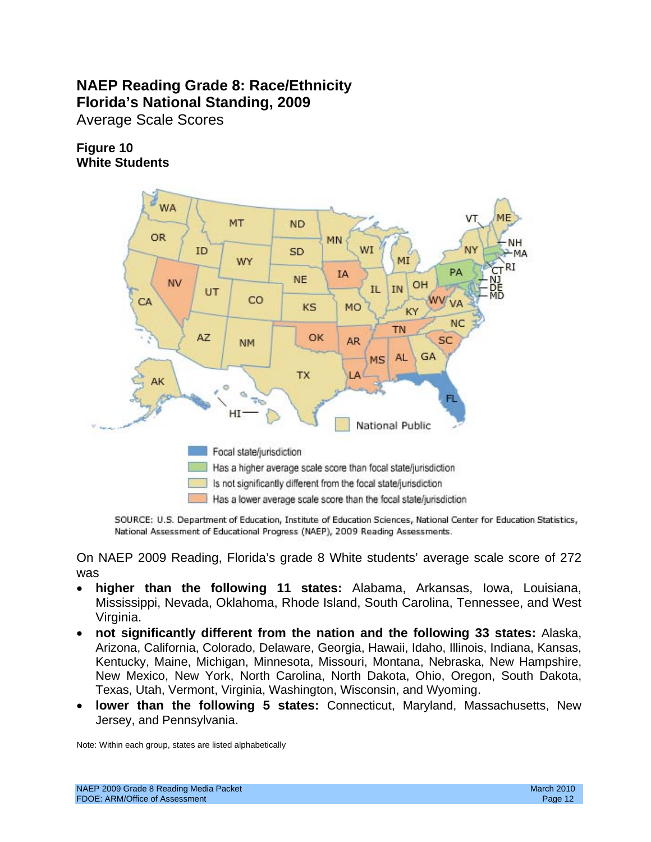# **NAEP Reading Grade 8: Race/Ethnicity Florida's National Standing, 2009**  Average Scale Scores

### **Figure 10 White Students**



SOURCE: U.S. Department of Education, Institute of Education Sciences, National Center for Education Statistics, National Assessment of Educational Progress (NAEP), 2009 Reading Assessments.

On NAEP 2009 Reading, Florida's grade 8 White students' average scale score of 272 was

- **higher than the following 11 states:** Alabama, Arkansas, Iowa, Louisiana, Mississippi, Nevada, Oklahoma, Rhode Island, South Carolina, Tennessee, and West Virginia.
- • **not significantly different from the nation and the following 33 states:** Alaska, Arizona, California, Colorado, Delaware, Georgia, Hawaii, Idaho, Illinois, Indiana, Kansas, Kentucky, Maine, Michigan, Minnesota, Missouri, Montana, Nebraska, New Hampshire, New Mexico, New York, North Carolina, North Dakota, Ohio, Oregon, South Dakota, Texas, Utah, Vermont, Virginia, Washington, Wisconsin, and Wyoming.
- • **lower than the following 5 states:** Connecticut, Maryland, Massachusetts, New Jersey, and Pennsylvania.

Note: Within each group, states are listed alphabetically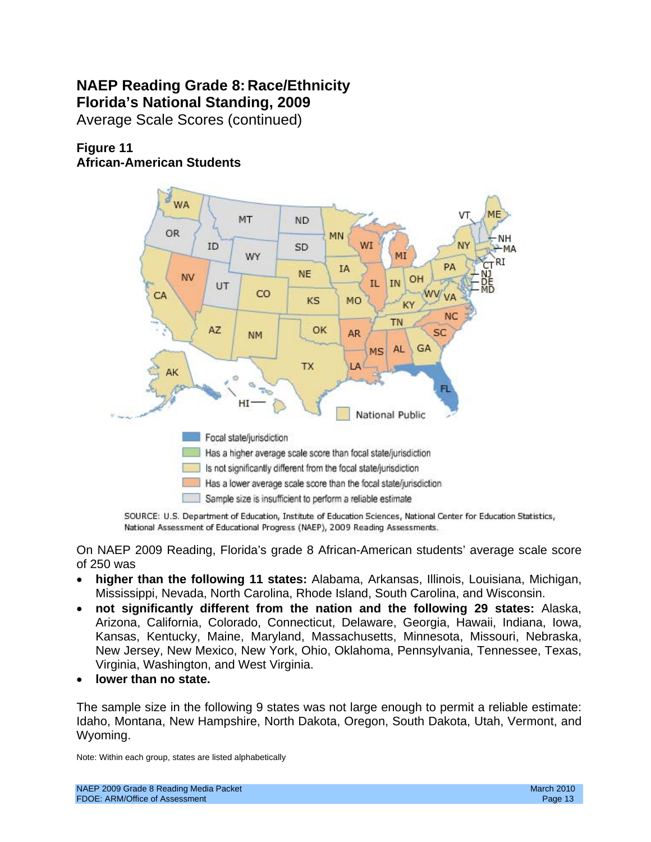# **NAEP Reading Grade 8: Race/Ethnicity Florida's National Standing, 2009**

Average Scale Scores (continued)

## **Figure 11 African-American Students**



SOURCE: U.S. Department of Education, Institute of Education Sciences, National Center for Education Statistics, National Assessment of Educational Progress (NAEP), 2009 Reading Assessments.

On NAEP 2009 Reading, Florida's grade 8 African-American students' average scale score of 250 was

- • **higher than the following 11 states:** Alabama, Arkansas, Illinois, Louisiana, Michigan, Mississippi, Nevada, North Carolina, Rhode Island, South Carolina, and Wisconsin.
- • **not significantly different from the nation and the following 29 states:** Alaska, Arizona, California, Colorado, Connecticut, Delaware, Georgia, Hawaii, Indiana, Iowa, Kansas, Kentucky, Maine, Maryland, Massachusetts, Minnesota, Missouri, Nebraska, New Jersey, New Mexico, New York, Ohio, Oklahoma, Pennsylvania, Tennessee, Texas, Virginia, Washington, and West Virginia.
- lower than no state.

 The sample size in the following 9 states was not large enough to permit a reliable estimate: Idaho, Montana, New Hampshire, North Dakota, Oregon, South Dakota, Utah, Vermont, and Wyoming.

Note: Within each group, states are listed alphabetically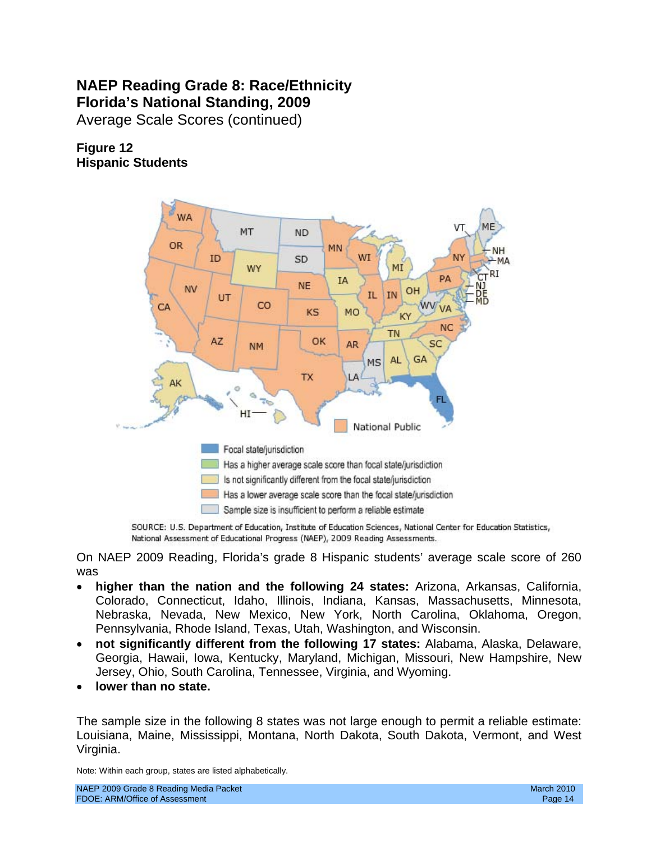# **NAEP Reading Grade 8: Race/Ethnicity Florida's National Standing, 2009**

Average Scale Scores (continued)

## **Figure 12 Hispanic Students**



SOURCE: U.S. Department of Education, Institute of Education Sciences, National Center for Education Statistics, National Assessment of Educational Progress (NAEP), 2009 Reading Assessments.

 On NAEP 2009 Reading, Florida's grade 8 Hispanic students' average scale score of 260 was

- Nebraska, Nevada, New Mexico, New York, North Carolina, Oklahoma, Oregon, **higher than the nation and the following 24 states:** Arizona, Arkansas, California, Colorado, Connecticut, Idaho, Illinois, Indiana, Kansas, Massachusetts, Minnesota, Pennsylvania, Rhode Island, Texas, Utah, Washington, and Wisconsin.
- not significantly different from the following 17 states: Alabama, Alaska, Delaware, Georgia, Hawaii, Iowa, Kentucky, Maryland, Michigan, Missouri, New Hampshire, New Jersey, Ohio, South Carolina, Tennessee, Virginia, and Wyoming.
- lower than no state.

 The sample size in the following 8 states was not large enough to permit a reliable estimate: Louisiana, Maine, Mississippi, Montana, North Dakota, South Dakota, Vermont, and West Virginia.

Note: Within each group, states are listed alphabetically.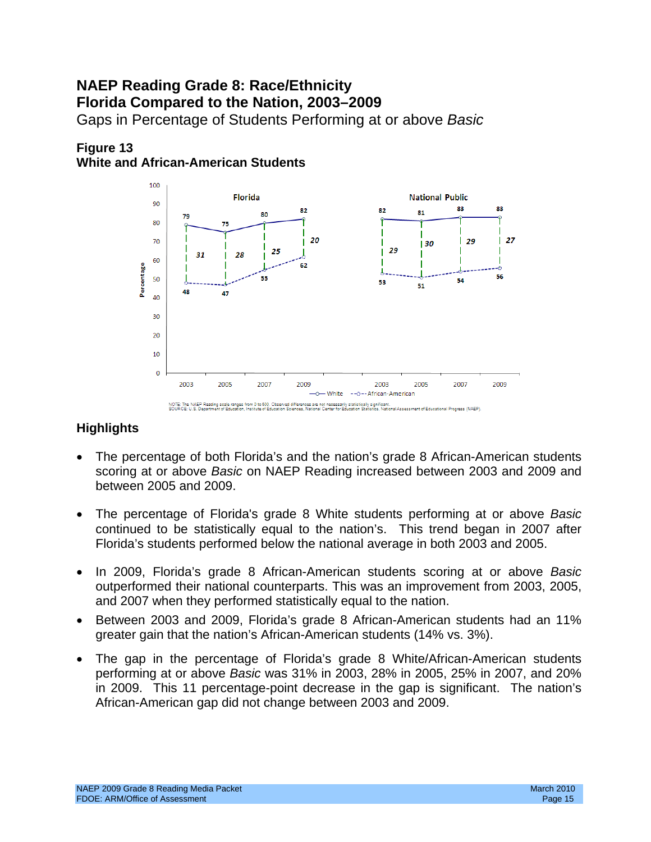# **NAEP Reading Grade 8: Race/Ethnicity Florida Compared to the Nation, 2003–2009**

Gaps in Percentage of Students Performing at or above *Basic* 

## **Figure 13 White and African-American Students**



- The percentage of both Florida's and the nation's grade 8 African-American students scoring at or above *Basic* on NAEP Reading increased between 2003 and 2009 and between 2005 and 2009.
- The percentage of Florida's grade 8 White students performing at or above *Basic* continued to be statistically equal to the nation's. This trend began in 2007 after Florida's students performed below the national average in both 2003 and 2005.
- In 2009, Florida's grade 8 African-American students scoring at or above *Basic* outperformed their national counterparts. This was an improvement from 2003, 2005, and 2007 when they performed statistically equal to the nation.
- Between 2003 and 2009, Florida's grade 8 African-American students had an 11% greater gain that the nation's African-American students (14% vs. 3%).
- The gap in the percentage of Florida's grade 8 White/African-American students performing at or above *Basic* was 31% in 2003, 28% in 2005, 25% in 2007, and 20% in 2009. This 11 percentage-point decrease in the gap is significant. The nation's African-American gap did not change between 2003 and 2009.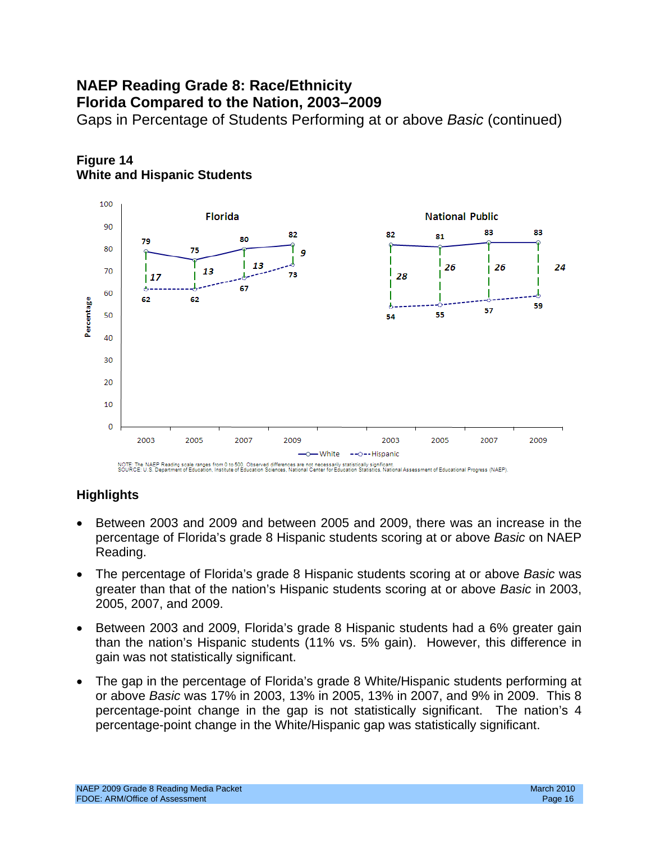# **NAEP Reading Grade 8: Race/Ethnicity Florida Compared to the Nation, 2003–2009**

Gaps in Percentage of Students Performing at or above *Basic* (continued)



# **Figure 14 White and Hispanic Students**

NOTE: The NAEP Reading scale ranges from 0 to 500. Observed differences are not necessarily statistically significant.<br>SOURCE: U.S. Department of Education, Institute of Education Sciences, National Center for Education St

- Between 2003 and 2009 and between 2005 and 2009, there was an increase in the percentage of Florida's grade 8 Hispanic students scoring at or above *Basic* on NAEP Reading.
- The percentage of Florida's grade 8 Hispanic students scoring at or above *Basic* was greater than that of the nation's Hispanic students scoring at or above *Basic* in 2003, 2005, 2007, and 2009.
- Between 2003 and 2009, Florida's grade 8 Hispanic students had a 6% greater gain than the nation's Hispanic students (11% vs. 5% gain). However, this difference in gain was not statistically significant.
- The gap in the percentage of Florida's grade 8 White/Hispanic students performing at or above *Basic* was 17% in 2003, 13% in 2005, 13% in 2007, and 9% in 2009. This 8 percentage-point change in the gap is not statistically significant. The nation's 4 percentage-point change in the White/Hispanic gap was statistically significant.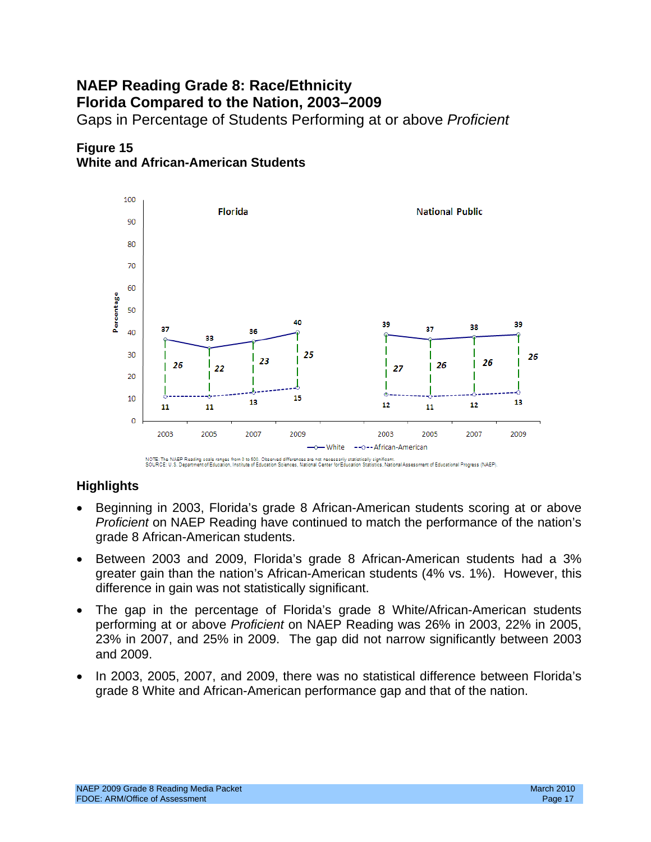# Gaps in Percentage of Students Performing at or above *Proficient* **NAEP Reading Grade 8: Race/Ethnicity Florida Compared to the Nation, 2003–2009**





NOTE: The NAEP Reading scale ranges from 0 to 500. Observed differences are not necessarily statistically significant.<br>SOURCE: U.S. Department of Education, Institute of Education Sciences, National Center for Education St

- Beginning in 2003, Florida's grade 8 African-American students scoring at or above *Proficient* on NAEP Reading have continued to match the performance of the nation's grade 8 African-American students.
- Between 2003 and 2009, Florida's grade 8 African-American students had a 3% greater gain than the nation's African-American students (4% vs. 1%). However, this difference in gain was not statistically significant.
- The gap in the percentage of Florida's grade 8 White/African-American students performing at or above *Proficient* on NAEP Reading was 26% in 2003, 22% in 2005, 23% in 2007, and 25% in 2009. The gap did not narrow significantly between 2003 and 2009.
- In 2003, 2005, 2007, and 2009, there was no statistical difference between Florida's grade 8 White and African-American performance gap and that of the nation.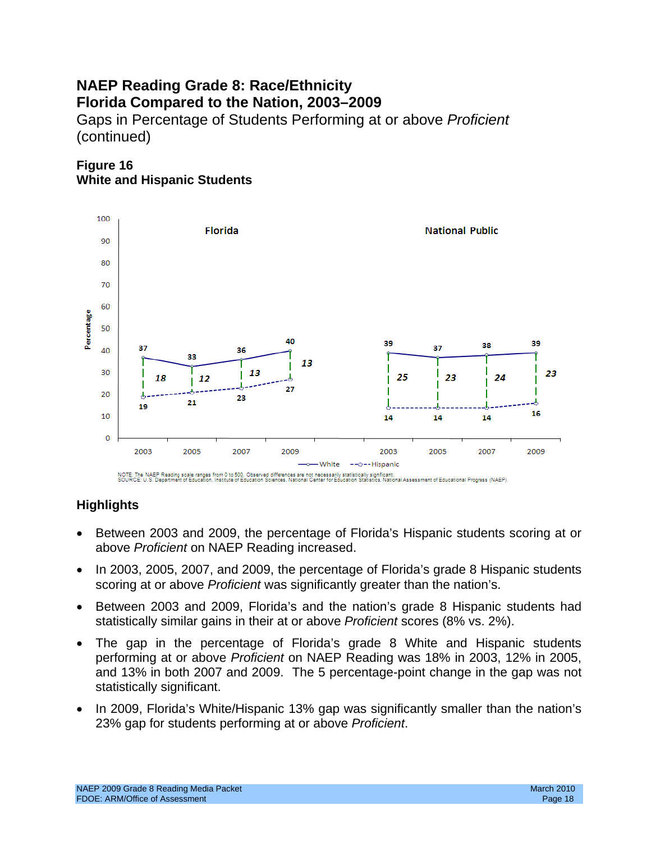# **NAEP Reading Grade 8: Race/Ethnicity Florida Compared to the Nation, 2003–2009**  Gaps in Percentage of Students Performing at or above *Proficient*  (continued)

**Figure 16 White and Hispanic Students** 



- Between 2003 and 2009, the percentage of Florida's Hispanic students scoring at or above *Proficient* on NAEP Reading increased.
- In 2003, 2005, 2007, and 2009, the percentage of Florida's grade 8 Hispanic students scoring at or above *Proficient* was significantly greater than the nation's.
- Between 2003 and 2009, Florida's and the nation's grade 8 Hispanic students had statistically similar gains in their at or above *Proficient* scores (8% vs. 2%).
- The gap in the percentage of Florida's grade 8 White and Hispanic students performing at or above *Proficient* on NAEP Reading was 18% in 2003, 12% in 2005, and 13% in both 2007 and 2009. The 5 percentage-point change in the gap was not statistically significant.
- In 2009, Florida's White/Hispanic 13% gap was significantly smaller than the nation's 23% gap for students performing at or above *Proficient*.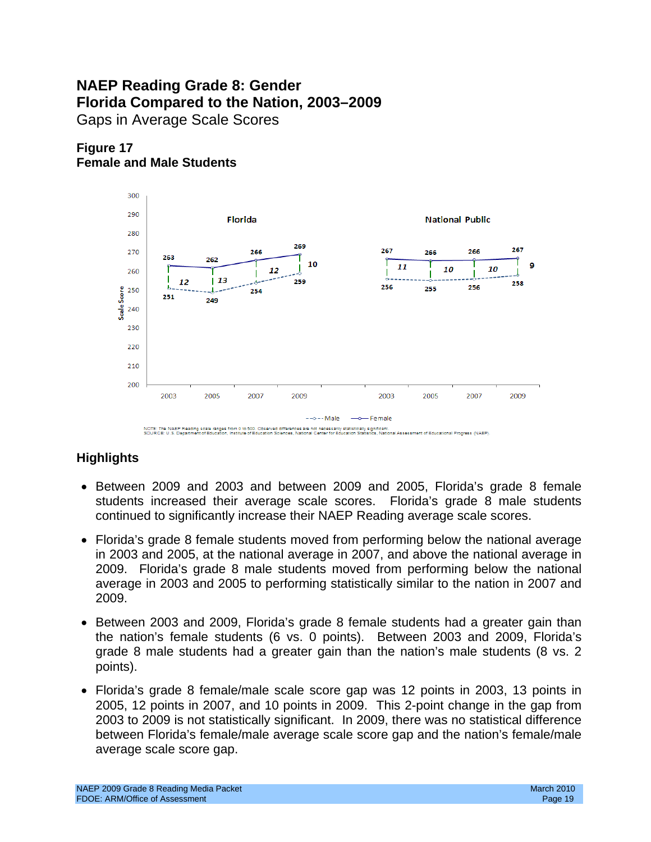# **NAEP Reading Grade 8: Gender Florida Compared to the Nation, 2003–2009**  Gaps in Average Scale Scores





NOTE: The NAEP Reading scale ranges from 0 to 500. Observed differences are not necessarily statistically significan<br>SOURCE: U.S. Department of Education, Institute of Education Sciences, National Center for Education Stat

- Between 2009 and 2003 and between 2009 and 2005, Florida's grade 8 female students increased their average scale scores. Florida's grade 8 male students continued to significantly increase their NAEP Reading average scale scores.
- Florida's grade 8 female students moved from performing below the national average in 2003 and 2005, at the national average in 2007, and above the national average in 2009. Florida's grade 8 male students moved from performing below the national average in 2003 and 2005 to performing statistically similar to the nation in 2007 and 2009.
- Between 2003 and 2009, Florida's grade 8 female students had a greater gain than the nation's female students (6 vs. 0 points). Between 2003 and 2009, Florida's grade 8 male students had a greater gain than the nation's male students (8 vs. 2 points).
- Florida's grade 8 female/male scale score gap was 12 points in 2003, 13 points in 2005, 12 points in 2007, and 10 points in 2009. This 2-point change in the gap from 2003 to 2009 is not statistically significant. In 2009, there was no statistical difference between Florida's female/male average scale score gap and the nation's female/male average scale score gap.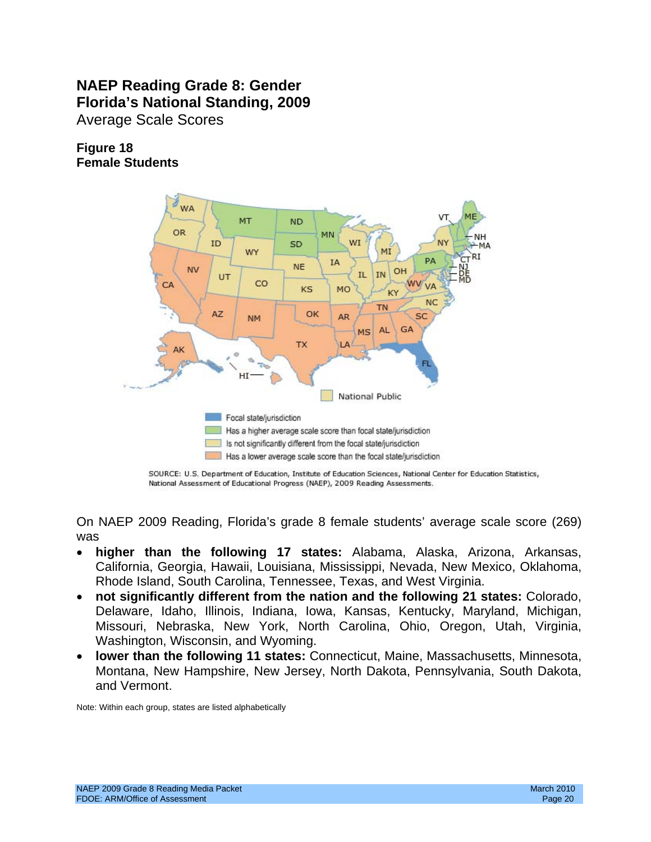# **NAEP Reading Grade 8: Gender Florida's National Standing, 2009**  Average Scale Scores

## **Figure 18 Female Students**



SOURCE: U.S. Department of Education, Institute of Education Sciences, National Center for Education Statistics, National Assessment of Educational Progress (NAEP), 2009 Reading Assessments.

On NAEP 2009 Reading, Florida's grade 8 female students' average scale score (269) was

- • **higher than the following 17 states:** Alabama, Alaska, Arizona, Arkansas, California, Georgia, Hawaii, Louisiana, Mississippi, Nevada, New Mexico, Oklahoma, Rhode Island, South Carolina, Tennessee, Texas, and West Virginia.
- not significantly different from the nation and the following 21 states: Colorado, Delaware, Idaho, Illinois, Indiana, Iowa, Kansas, Kentucky, Maryland, Michigan, Missouri, Nebraska, New York, North Carolina, Ohio, Oregon, Utah, Virginia, Washington, Wisconsin, and Wyoming.
- • **lower than the following 11 states:** Connecticut, Maine, Massachusetts, Minnesota, Montana, New Hampshire, New Jersey, North Dakota, Pennsylvania, South Dakota, and Vermont.

Note: Within each group, states are listed alphabetically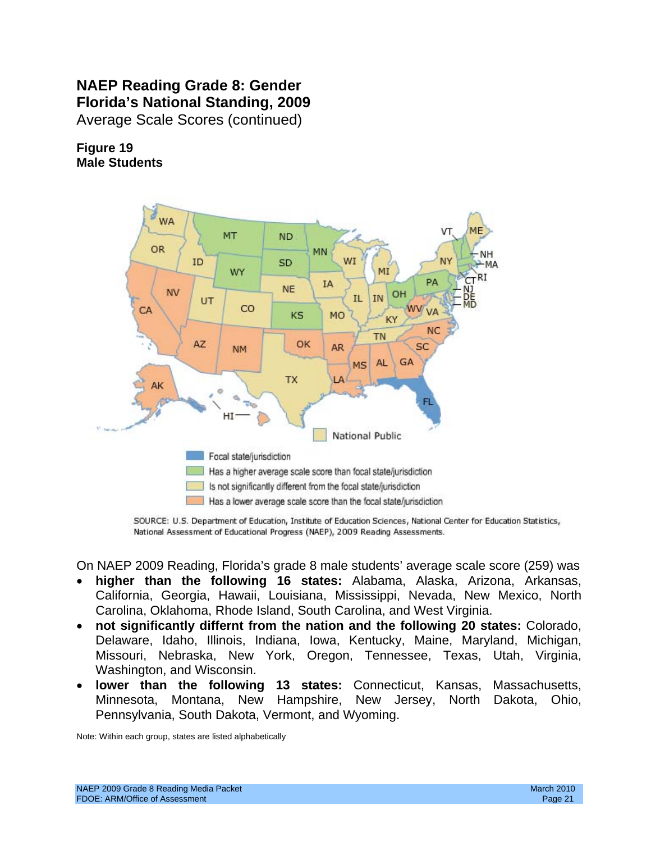# **NAEP Reading Grade 8: Gender Florida's National Standing, 2009**  Average Scale Scores (continued)

**Figure 19 Male Students** 



SOURCE: U.S. Department of Education, Institute of Education Sciences, National Center for Education Statistics, National Assessment of Educational Progress (NAEP), 2009 Reading Assessments.

On NAEP 2009 Reading, Florida's grade 8 male students' average scale score (259) was

- **higher than the following 16 states:** Alabama, Alaska, Arizona, Arkansas, California, Georgia, Hawaii, Louisiana, Mississippi, Nevada, New Mexico, North Carolina, Oklahoma, Rhode Island, South Carolina, and West Virginia.
- not significantly differnt from the nation and the following 20 states: Colorado, Delaware, Idaho, Illinois, Indiana, Iowa, Kentucky, Maine, Maryland, Michigan, Missouri, Nebraska, New York, Oregon, Tennessee, Texas, Utah, Virginia, Washington, and Wisconsin.
- **lower than the following 13 states:** Connecticut, Kansas, Massachusetts, Minnesota, Montana, New Hampshire, New Jersey, North Dakota, Ohio, Pennsylvania, South Dakota, Vermont, and Wyoming.

Note: Within each group, states are listed alphabetically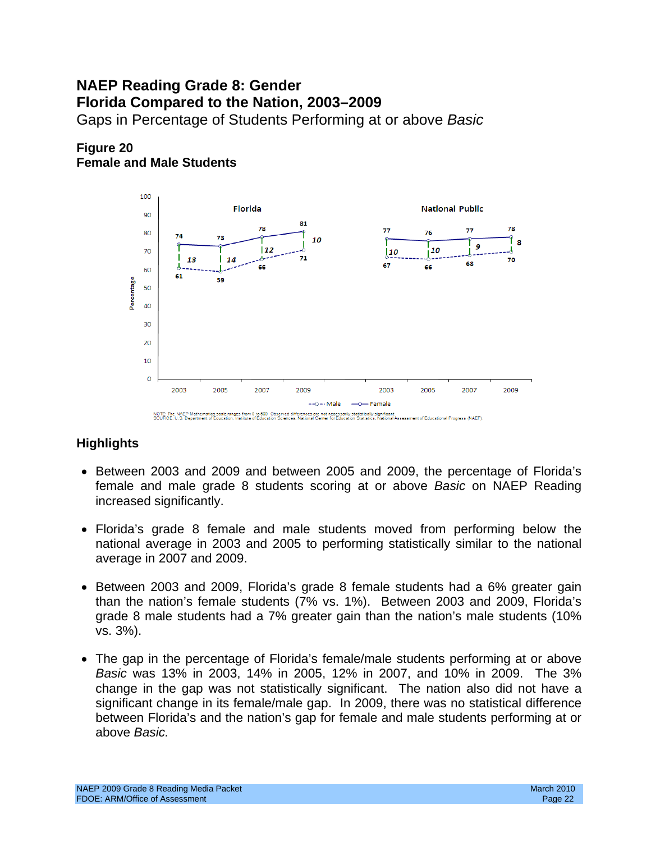# Gaps in Percentage of Students Performing at or above *Basic* **NAEP Reading Grade 8: Gender Florida Compared to the Nation, 2003–2009**

## **Figure 20 Female and Male Students**



- Between 2003 and 2009 and between 2005 and 2009, the percentage of Florida's female and male grade 8 students scoring at or above *Basic* on NAEP Reading increased significantly.
- Florida's grade 8 female and male students moved from performing below the national average in 2003 and 2005 to performing statistically similar to the national average in 2007 and 2009.
- Between 2003 and 2009, Florida's grade 8 female students had a 6% greater gain than the nation's female students (7% vs. 1%). Between 2003 and 2009, Florida's grade 8 male students had a 7% greater gain than the nation's male students (10% vs. 3%).
- The gap in the percentage of Florida's female/male students performing at or above *Basic* was 13% in 2003, 14% in 2005, 12% in 2007, and 10% in 2009. The 3% change in the gap was not statistically significant. The nation also did not have a significant change in its female/male gap. In 2009, there was no statistical difference between Florida's and the nation's gap for female and male students performing at or above *Basic.*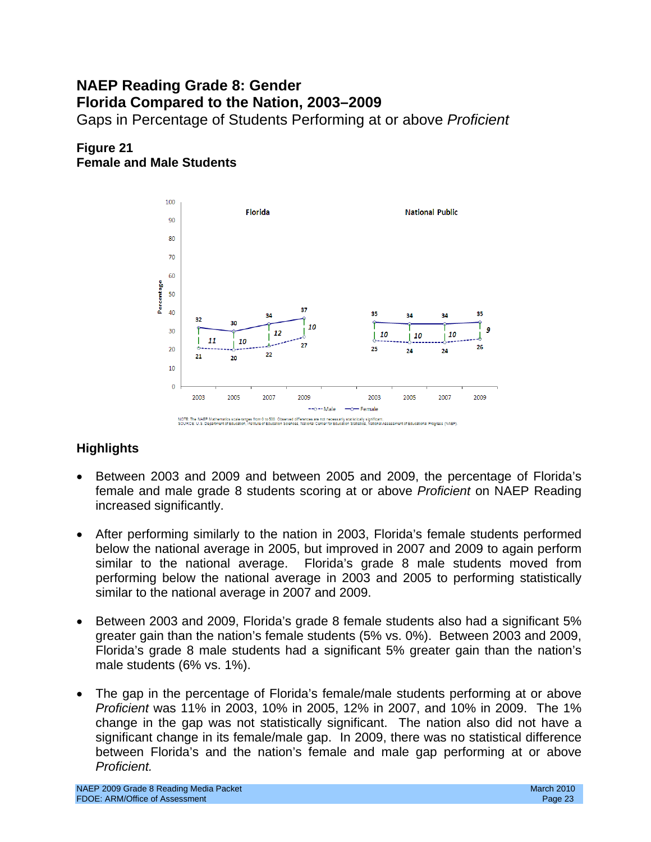# **NAEP Reading Grade 8: Gender Florida Compared to the Nation, 2003–2009**  Gaps in Percentage of Students Performing at or above *Proficient*

## **Figure 21 Female and Male Students**



- Between 2003 and 2009 and between 2005 and 2009, the percentage of Florida's female and male grade 8 students scoring at or above *Proficient* on NAEP Reading increased significantly.
- After performing similarly to the nation in 2003, Florida's female students performed below the national average in 2005, but improved in 2007 and 2009 to again perform similar to the national average. Florida's grade 8 male students moved from performing below the national average in 2003 and 2005 to performing statistically similar to the national average in 2007 and 2009.
- Between 2003 and 2009, Florida's grade 8 female students also had a significant 5% greater gain than the nation's female students (5% vs. 0%). Between 2003 and 2009, Florida's grade 8 male students had a significant 5% greater gain than the nation's male students (6% vs. 1%).
- The gap in the percentage of Florida's female/male students performing at or above *Proficient* was 11% in 2003, 10% in 2005, 12% in 2007, and 10% in 2009. The 1% change in the gap was not statistically significant. The nation also did not have a significant change in its female/male gap. In 2009, there was no statistical difference between Florida's and the nation's female and male gap performing at or above *Proficient.*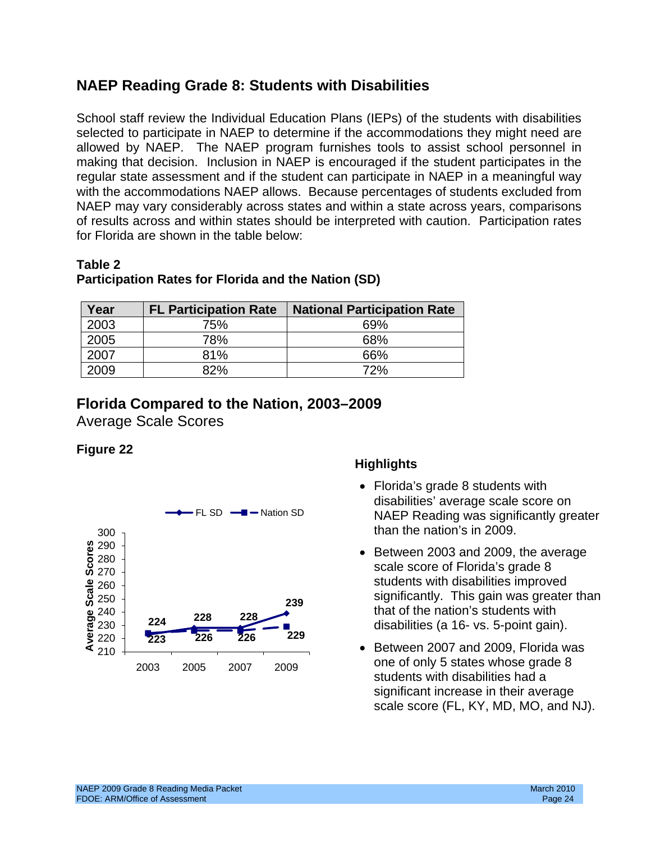# **NAEP Reading Grade 8: Students with Disabilities**

School staff review the Individual Education Plans (IEPs) of the students with disabilities selected to participate in NAEP to determine if the accommodations they might need are allowed by NAEP. The NAEP program furnishes tools to assist school personnel in making that decision. Inclusion in NAEP is encouraged if the student participates in the regular state assessment and if the student can participate in NAEP in a meaningful way with the accommodations NAEP allows. Because percentages of students excluded from NAEP may vary considerably across states and within a state across years, comparisons of results across and within states should be interpreted with caution. Participation rates for Florida are shown in the table below:

### **Table 2**

## **Participation Rates for Florida and the Nation (SD)**

| Year | <b>FL Participation Rate</b> | <b>National Participation Rate</b> |
|------|------------------------------|------------------------------------|
| 2003 | 75%                          | 69%                                |
| 2005 | 78%                          | 68%                                |
| 2007 | 81%                          | 66%                                |
| 2009 | 82%                          | 72%                                |

# **Florida Compared to the Nation, 2003–2009**

Average Scale Scores

## **Figure 22**



- Florida's grade 8 students with disabilities' average scale score on NAEP Reading was significantly greater than the nation's in 2009.
- significantly. This gain was greater than • Between 2003 and 2009, the average scale score of Florida's grade 8 students with disabilities improved that of the nation's students with disabilities (a 16- vs. 5-point gain).
- • Between 2007 and 2009, Florida was one of only 5 states whose grade 8 students with disabilities had a significant increase in their average scale score (FL, KY, MD, MO, and NJ).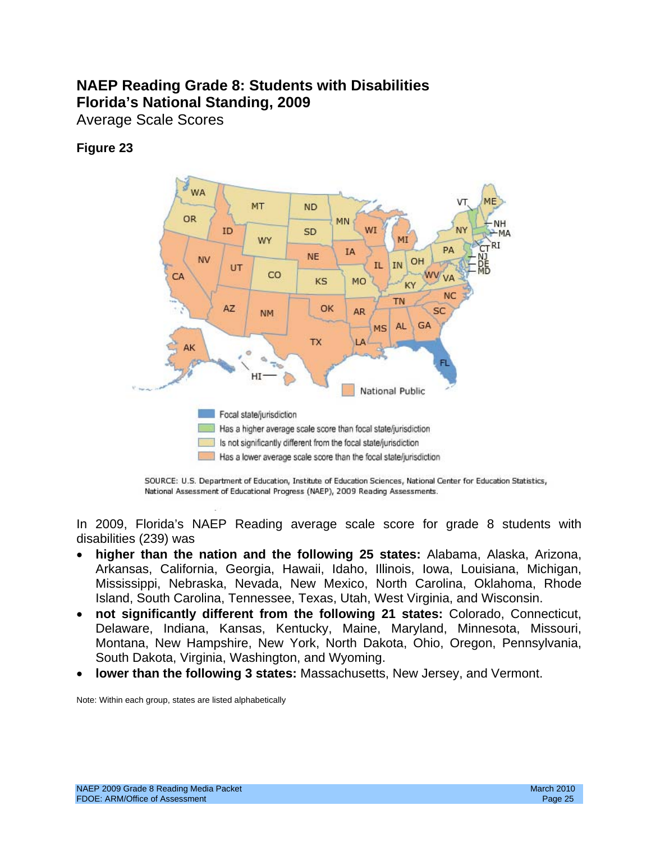# **NAEP Reading Grade 8: Students with Disabilities Florida's National Standing, 2009**

Average Scale Scores

## **Figure 23**



SOURCE: U.S. Department of Education, Institute of Education Sciences, National Center for Education Statistics, National Assessment of Educational Progress (NAEP), 2009 Reading Assessments.

In 2009, Florida's NAEP Reading average scale score for grade 8 students with disabilities (239) was

- Island, South Carolina, Tennessee, Texas, Utah, West Virginia, and Wisconsin. • **higher than the nation and the following 25 states:** Alabama, Alaska, Arizona, Arkansas, California, Georgia, Hawaii, Idaho, Illinois, Iowa, Louisiana, Michigan, Mississippi, Nebraska, Nevada, New Mexico, North Carolina, Oklahoma, Rhode
- not significantly different from the following 21 states: Colorado, Connecticut, Delaware, Indiana, Kansas, Kentucky, Maine, Maryland, Minnesota, Missouri, Montana, New Hampshire, New York, North Dakota, Ohio, Oregon, Pennsylvania, South Dakota, Virginia, Washington, and Wyoming.
- lower than the following 3 states: Massachusetts, New Jersey, and Vermont.

Note: Within each group, states are listed alphabetically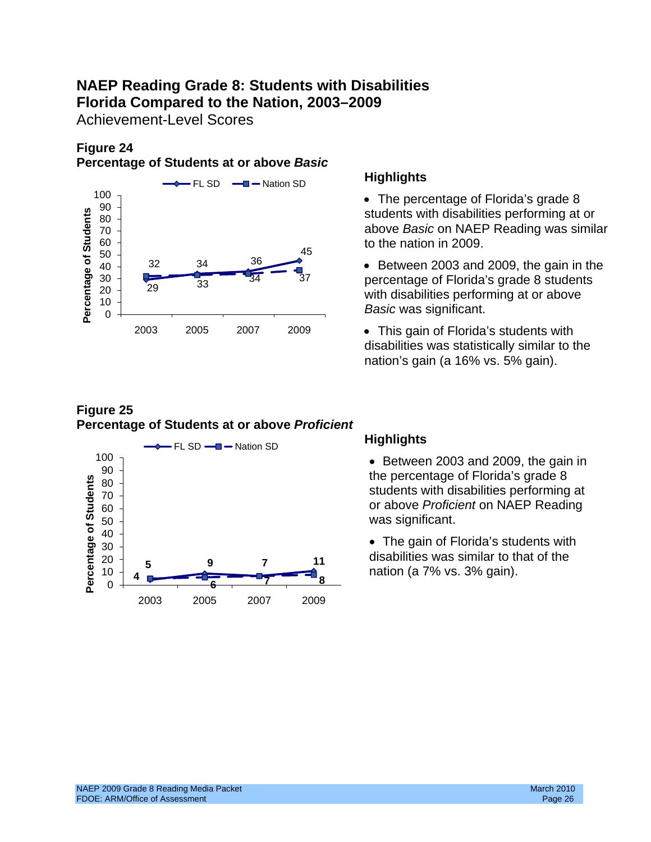# **NAEP Reading Grade 8: Students with Disabilities Florida Compared to the Nation, 2003–2009**

Achievement-Level Scores

# **Figure 24**

## **Percentage of Students at or above** *Basic*



- The percentage of Florida's grade  $8$  $\frac{30}{80}$   $\frac{1}{80}$  above *Basic* on NAEP Reading was similar to the nation in 2009. <sup>45</sup>
	- Between 2003 and 2009, the gain in the percentage of Florida's grade 8 students *Basic* was significant.
	- This gain of Florida's students with disabilities was statistically similar to the nation's gain (a 16% vs. 5% gain).

## **Figure 25 Percentage of Students at or above** *Proficient*



 the percentage of Florida's grade 8 students with disabilities performing at <sup>60</sup> or above *Proficient* on NAEP Reading was significant.

• The gain of Florida's students with disabilities was similar to that of the **5 9 7 <sup>11</sup>** nation (a 7% vs. 3% gain). **<sup>8</sup>**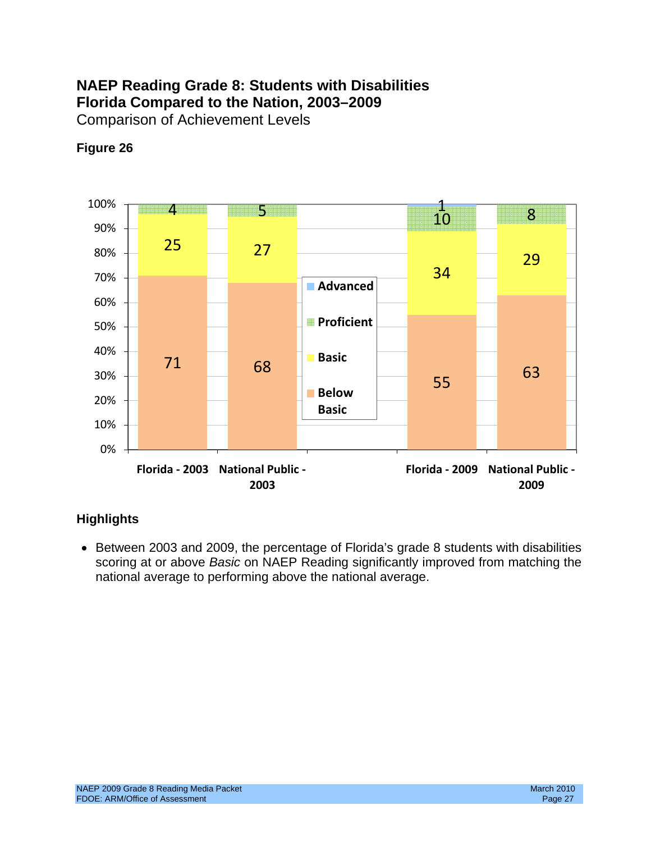# **NAEP Reading Grade 8: Students with Disabilities Florida Compared to the Nation, 2003–2009**  Comparison of Achievement Levels

# **Figure 26**



# **Highlights**

• Between 2003 and 2009, the percentage of Florida's grade 8 students with disabilities scoring at or above *Basic* on NAEP Reading significantly improved from matching the national average to performing above the national average.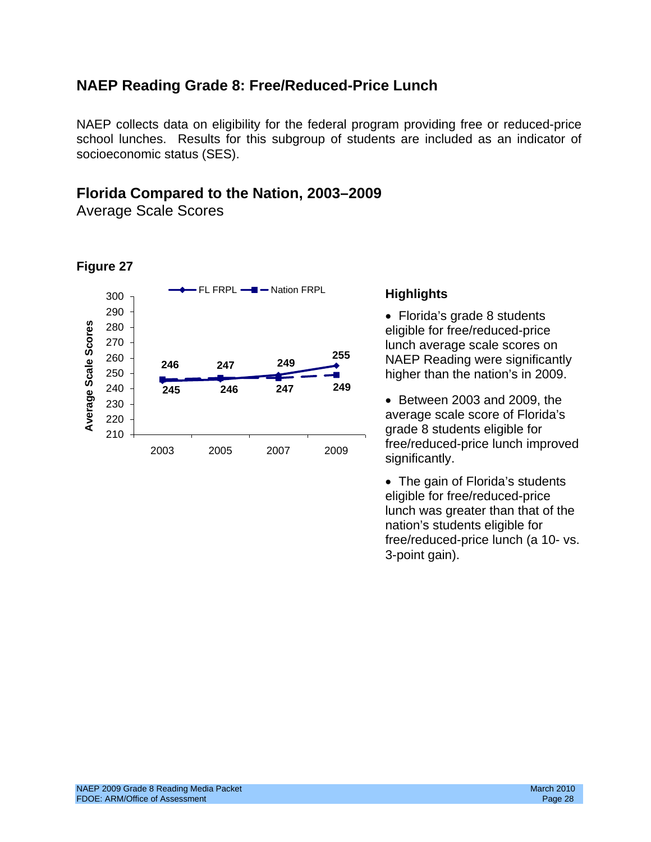# **NAEP Reading Grade 8: Free/Reduced-Price Lunch**

NAEP collects data on eligibility for the federal program providing free or reduced-price school lunches. Results for this subgroup of students are included as an indicator of socioeconomic status (SES).

# **Florida Compared to the Nation, 2003–2009**

Average Scale Scores

**Figure 27** 

### 300 T **CONTRIGHT FIGHT FRPL Highlights** <sup>290</sup>• Florida's grade 8 students **Average Scale Scores**  Average Scale Scores 280 eligible for free/reduced-price<br>270 eligible for free/reduced-price 260 **246 247 249** 250 240 **247 249 245 246**   $240$   $245$   $246$   $247$   $249$  e Between 2003 and 2009, the  $220<sup>-1</sup>$  average scale score of Florida's 210 2003 2005 2007 2009

247 **249 255 lunch average scale scores on 247 249 1 NAEP Reading were significantly** higher than the nation's in 2009.

> grade 8 students eligible for free/reduced-price lunch improved significantly.

> • The gain of Florida's students eligible for free/reduced-price lunch was greater than that of the nation's students eligible for free/reduced-price lunch (a 10- vs. 3-point gain).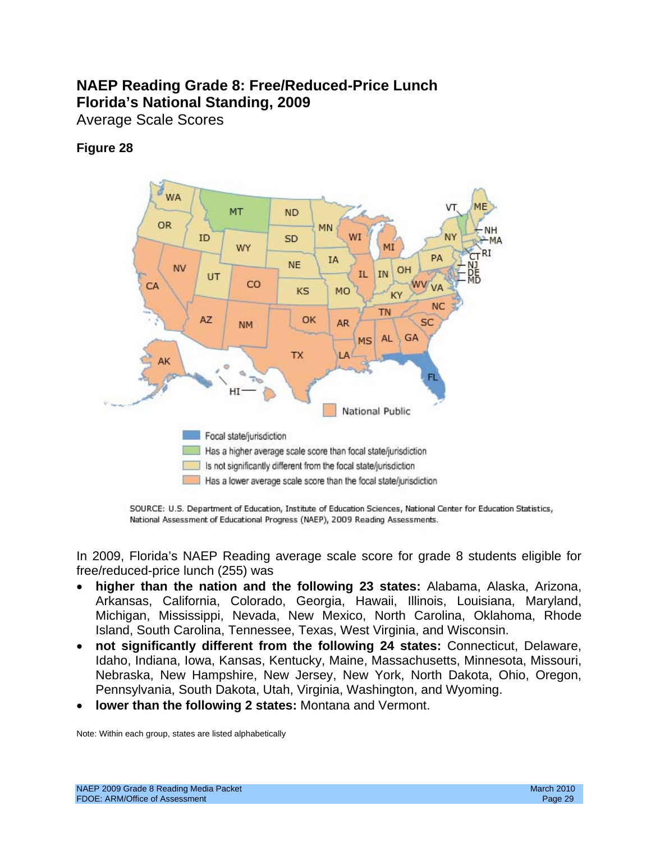# **NAEP Reading Grade 8: Free/Reduced-Price Lunch Florida's National Standing, 2009**

Average Scale Scores

## **Figure 28**



SOURCE: U.S. Department of Education, Institute of Education Sciences, National Center for Education Statistics, National Assessment of Educational Progress (NAEP), 2009 Reading Assessments.

In 2009, Florida's NAEP Reading average scale score for grade 8 students eligible for free/reduced-price lunch (255) was

- **higher than the nation and the following 23 states:** Alabama, Alaska, Arizona, Arkansas, California, Colorado, Georgia, Hawaii, Illinois, Louisiana, Maryland, Michigan, Mississippi, Nevada, New Mexico, North Carolina, Oklahoma, Rhode Island, South Carolina, Tennessee, Texas, West Virginia, and Wisconsin.
- not significantly different from the following 24 states: Connecticut, Delaware, Idaho, Indiana, Iowa, Kansas, Kentucky, Maine, Massachusetts, Minnesota, Missouri, Nebraska, New Hampshire, New Jersey, New York, North Dakota, Ohio, Oregon, Pennsylvania, South Dakota, Utah, Virginia, Washington, and Wyoming.
- **lower than the following 2 states:** Montana and Vermont.

Note: Within each group, states are listed alphabetically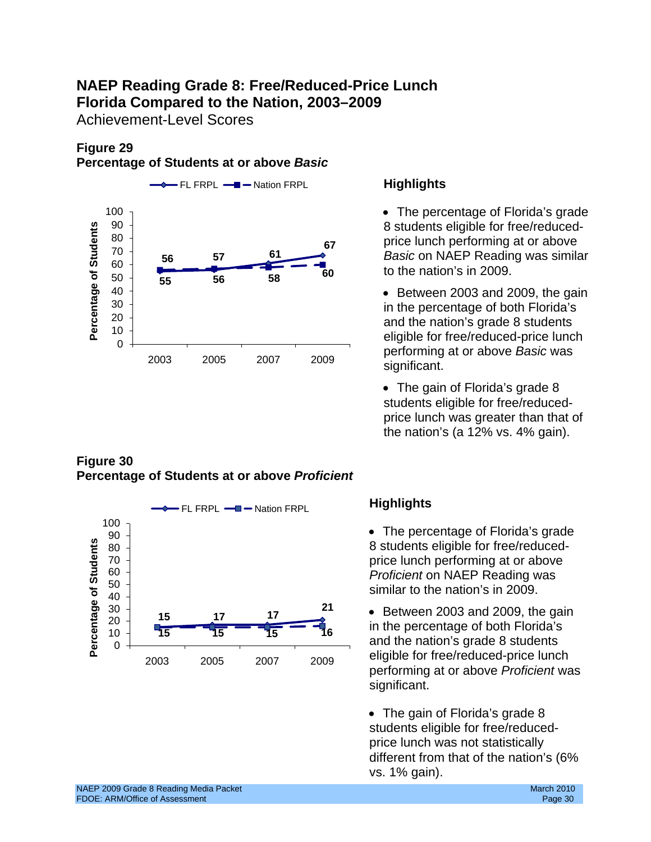# **NAEP Reading Grade 8: Free/Reduced-Price Lunch Florida Compared to the Nation, 2003–2009**

Achievement-Level Scores

# **Figure 29**

### **Percentage of Students at or above** *Basic*



## **Figure 30 Percentage of Students at or above** *Proficient*



 to the nation's in 2009. • The percentage of Florida's grade 8 students eligible for free/reduced price lunch performing at or above *Basic* on NAEP Reading was similar

• Between 2003 and 2009, the gain in the percentage of both Florida's and the nation's grade 8 students eligible for free/reduced-price lunch significant.

• The gain of Florida's grade 8 students eligible for free/reducedprice lunch was greater than that of the nation's (a 12% vs. 4% gain).

 • The percentage of Florida's grade 8 students eligible for free/reducedprice lunch performing at or above *Proficient* on NAEP Reading was similar to the nation's in 2009.

 significant. • Between 2003 and 2009, the gain in the percentage of both Florida's and the nation's grade 8 students eligible for free/reduced-price lunch performing at or above *Proficient* was

• The gain of Florida's grade 8 students eligible for free/reducedprice lunch was not statistically different from that of the nation's (6% vs. 1% gain).

NAEP 2009 Grade 8 Reading Media Packet March 2010 March 2010 March 2010 March 2010 FDOE: ARM/Office of Assessment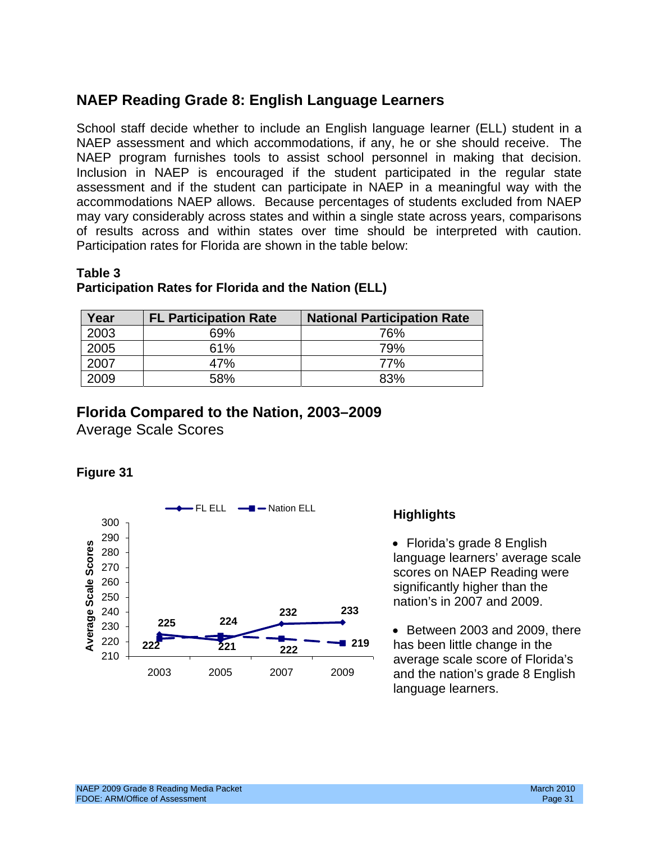# **NAEP Reading Grade 8: English Language Learners**

NAEP program furnishes tools to assist school personnel in making that decision.<br>Inclusion in NAEP is encouraged if the student participated in the regular state of results across and within states over time should be interpreted with caution.<br>Participation rates for Florida are shown in the table below: School staff decide whether to include an English language learner (ELL) student in a NAEP assessment and which accommodations, if any, he or she should receive. The assessment and if the student can participate in NAEP in a meaningful way with the accommodations NAEP allows. Because percentages of students excluded from NAEP may vary considerably across states and within a single state across years, comparisons

### **Table 3**

| Year | <b>FL Participation Rate</b> | <b>National Participation Rate</b> |
|------|------------------------------|------------------------------------|
| 2003 | 69%                          | 76%                                |
| 2005 | 61%                          | 79%                                |
| 2007 |                              | 77%                                |
| 2009 | 58%                          | 83%                                |

### **Participation Rates for Florida and the Nation (ELL)**

## **Florida Compared to the Nation, 2003–2009**

Average Scale Scores





• Between 2003 and 2009, there **219** has been little change in the 2003 2005 2007 2009 and the nation's grade 8 English language learners.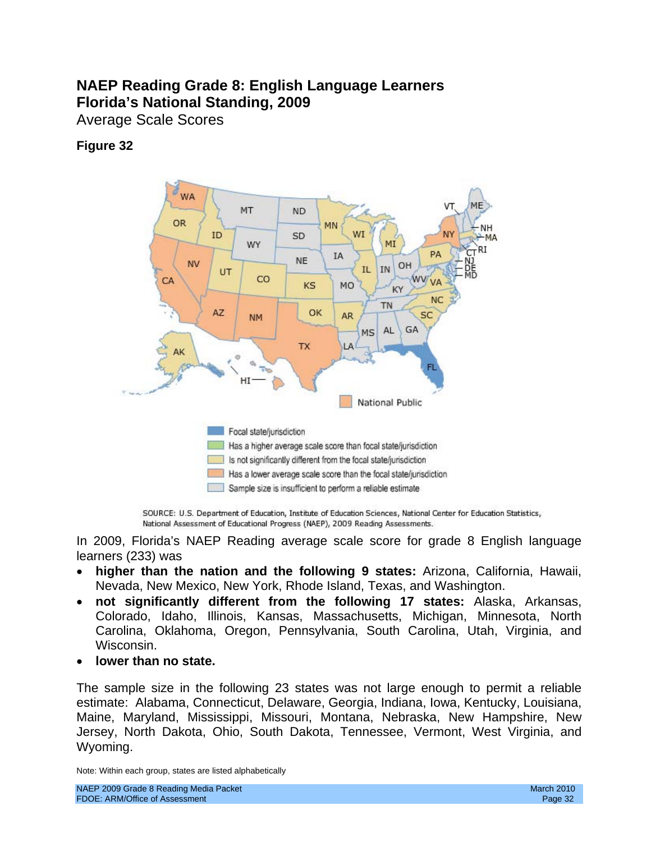# **NAEP Reading Grade 8: English Language Learners Florida's National Standing, 2009**

Average Scale Scores

# **Figure 32**



SOURCE: U.S. Department of Education, Institute of Education Sciences, National Center for Education Statistics, National Assessment of Educational Progress (NAEP), 2009 Reading Assessments.

In 2009, Florida's NAEP Reading average scale score for grade 8 English language learners (233) was

- • **higher than the nation and the following 9 states:** Arizona, California, Hawaii, Nevada, New Mexico, New York, Rhode Island, Texas, and Washington.
- • **not significantly different from the following 17 states:** Alaska, Arkansas, Colorado, Idaho, Illinois, Kansas, Massachusetts, Michigan, Minnesota, North Carolina, Oklahoma, Oregon, Pennsylvania, South Carolina, Utah, Virginia, and Wisconsin.
- **lower than no state.**

The sample size in the following 23 states was not large enough to permit a reliable estimate: Alabama, Connecticut, Delaware, Georgia, Indiana, Iowa, Kentucky, Louisiana, Maine, Maryland, Mississippi, Missouri, Montana, Nebraska, New Hampshire, New Jersey, North Dakota, Ohio, South Dakota, Tennessee, Vermont, West Virginia, and Wyoming.

Note: Within each group, states are listed alphabetically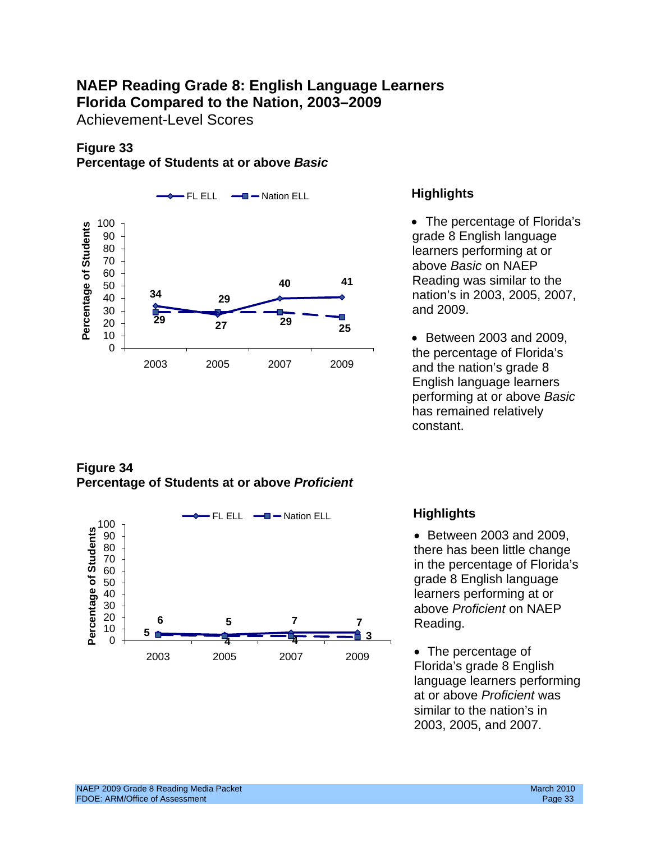# **NAEP Reading Grade 8: English Language Learners Florida Compared to the Nation, 2003–2009**

Achievement-Level Scores

# **Figure 33 Percentage of Students at or above** *Basic*



## **Figure 34 Percentage of Students at or above** *Proficient*



learners performing at or above *Basic* on NAEP Reading was similar to the nation's in 2003, 2005, 2007, and 2009.

and the nation's grade 8 English language learners performing at or above *Basic*  has remained relatively constant.

 • Between 2003 and 2009, there has been little change<br>in the percentage of Florida's 50 grade 8 English language learners performing at or

Florida's grade 8 English language learners performing at or above *Proficient* was similar to the nation's in 2003, 2005, and 2007.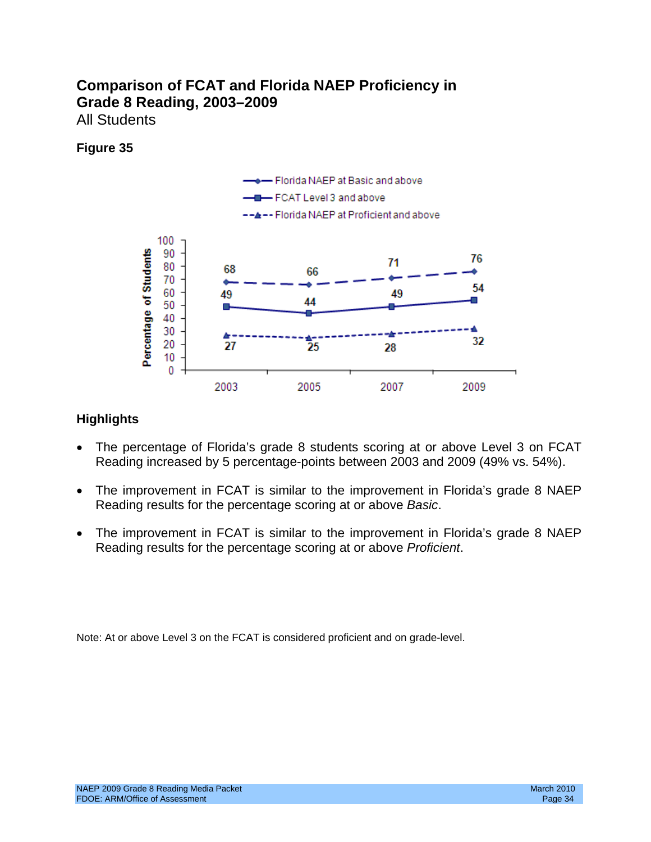# **Comparison of FCAT and Florida NAEP Proficiency in Grade 8 Reading, 2003–2009**  All Students

## **Figure 35**



## **Highlights**

- The percentage of Florida's grade 8 students scoring at or above Level 3 on FCAT Reading increased by 5 percentage-points between 2003 and 2009 (49% vs. 54%).
- The improvement in FCAT is similar to the improvement in Florida's grade 8 NAEP Reading results for the percentage scoring at or above *Basic*.
- The improvement in FCAT is similar to the improvement in Florida's grade 8 NAEP Reading results for the percentage scoring at or above *Proficient*.

Note: At or above Level 3 on the FCAT is considered proficient and on grade-level.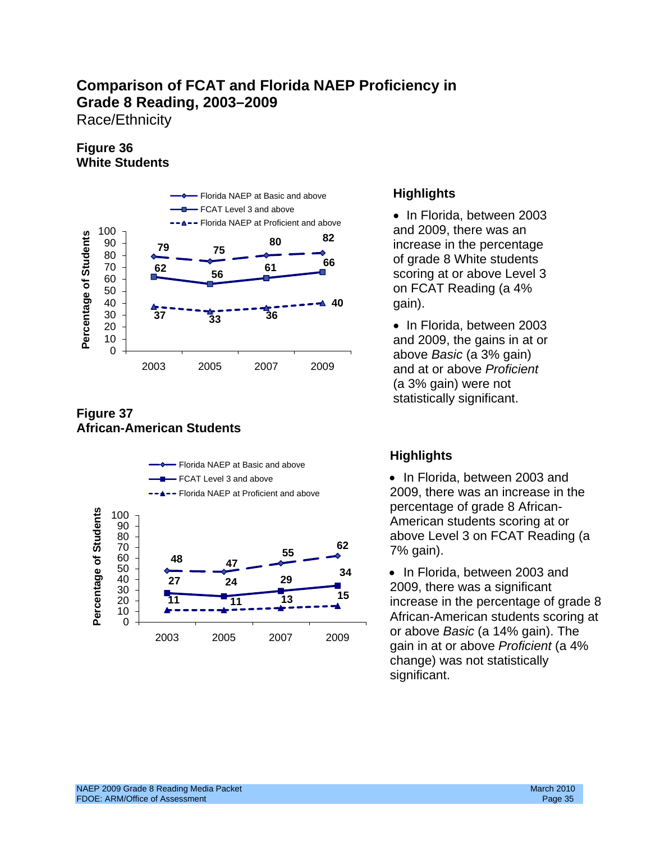Race/Ethnicity

## **Figure 36 White Students**



## **Figure 37 African-American Students**



## **Highlights**

• In Florida, between 2003 increase in the percentage **<sup>66</sup>**of grade 8 White students scoring at or above Level 3 on FCAT Reading (a 4% **40** gain).

> • In Florida, between 2003 and 2009, the gains in at or above *Basic* (a 3% gain) (a 3% gain) were not statistically significant.

above Level 3 on FCAT Reading (a<br>  $70($  anin)

 African-American students scoring at <sup>0</sup> change) was not statistically significant.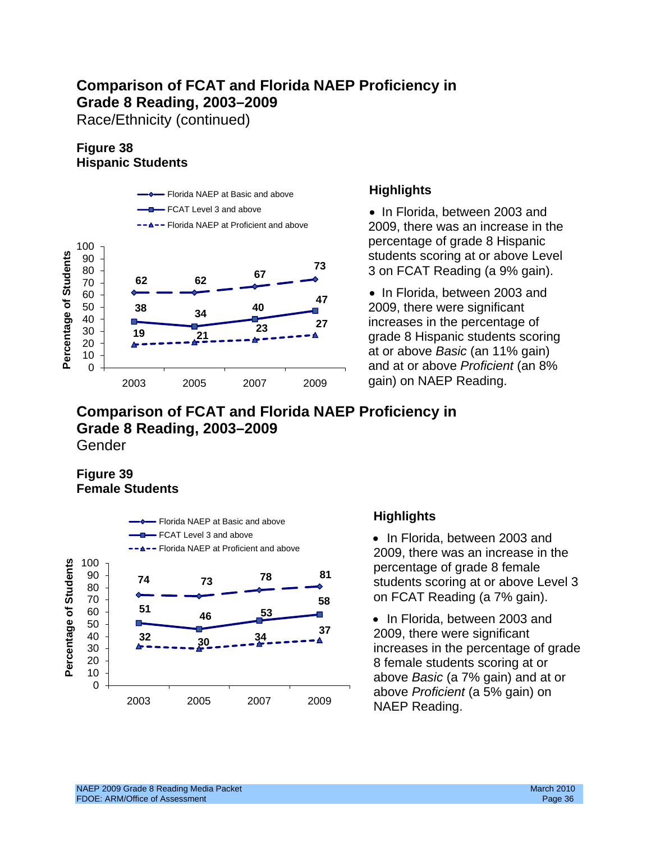Race/Ethnicity (continued)

# **Figure 38 Hispanic Students**



- Florida NAEP at Proficient and above 2009, there was an increase in the

and at or above *Proficient* (an 8%

## **Comparison of FCAT and Florida NAEP Proficiency in Grade 8 Reading, 2003–2009**  Gender

## **Figure 39 Female Students**



# **Highlights**

• In Florida, between 2003 and 2009, there was an increase in the percentage of grade 8 female students scoring at or above Level 3 on FCAT Reading (a 7% gain).

• In Florida, between 2003 and 2009, there were significant increases in the percentage of grade 8 female students scoring at or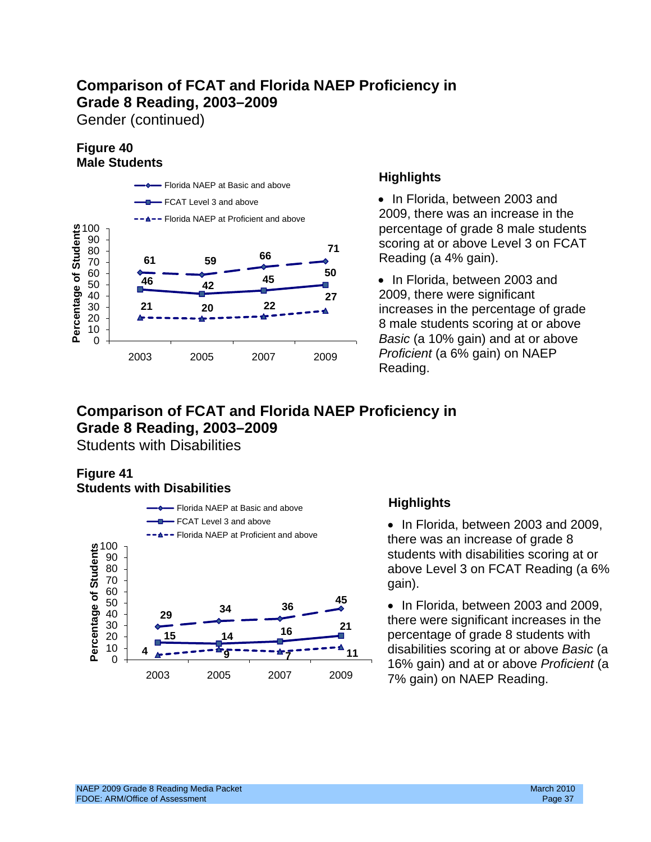Gender (continued)

## **Figure 40 Male Students**



percentage of grade 8 male students Reading (a 4% gain).<br>50

20 22 **22** 22 22 22 increases in the percentage of grade<br>20 22 22 22 22 22 23 8 male students scoring at or above 0 *Basic* (a 10% gain) and at or above Reading.

# **Comparison of FCAT and Florida NAEP Proficiency in Grade 8 Reading, 2003–2009**

Students with Disabilities

## **Figure 41 Students with Disabilities**



there was an increase of grade 8 students with disabilities scoring at or above Level 3 on FCAT Reading (a 6%

percentage of grade 8 students with **<sup>11</sup>** disabilities scoring at or above *Basic* (a <sup>0</sup> 16% gain) and at or above *Proficient* (a<br>2003 2005 2007 2009 7% gain) on NAEP Poading 7% gain) on NAEP Reading.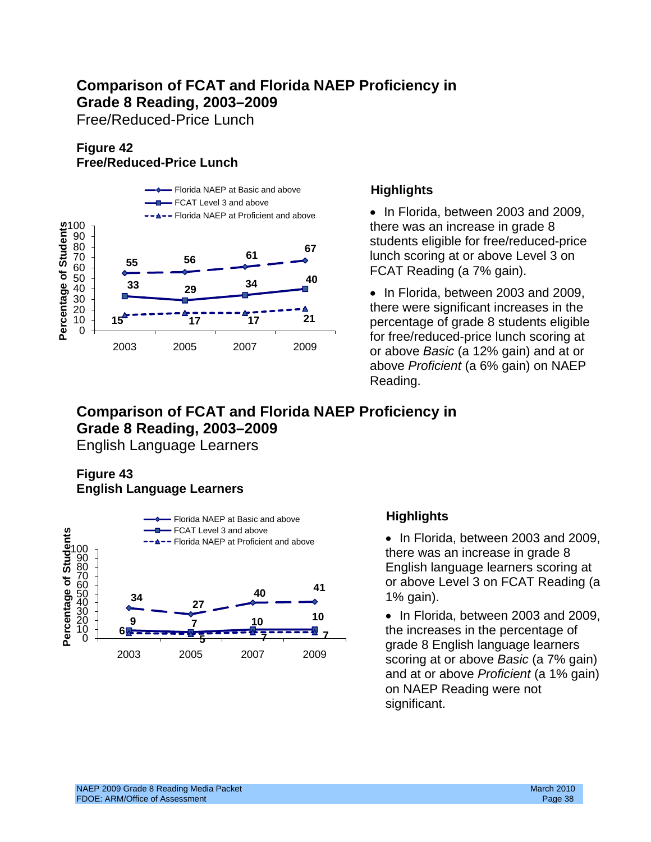Free/Reduced-Price Lunch

# **Figure 42 Free/Reduced-Price Lunch**



Florida NAEP at Proficient and above • In Florida, between 2003 and 2009, there was an increase in grade  $8$ students eligible for free/reduced-price lunch scoring at or above Level 3 on

> • In Florida, between 2003 and 2009, percentage of grade 8 students eligible above *Proficient* (a 6% gain) on NAEP Reading.

# **Comparison of FCAT and Florida NAEP Proficiency in Grade 8 Reading, 2003–2009**

English Language Learners

## **Figure 43 English Language Learners**



Florida NAEP at Proficient and above **• In Florida, between 2003 and 2009,** there was an increase in grade 8 English language learners scoring at or above Level 3 on FCAT Reading (a 1% gain).

> • In Florida, between 2003 and 2009, the increases in the percentage of grade 8 English language learners scoring at or above *Basic* (a 7% gain) and at or above *Proficient* (a 1% gain) on NAEP Reading were not significant.